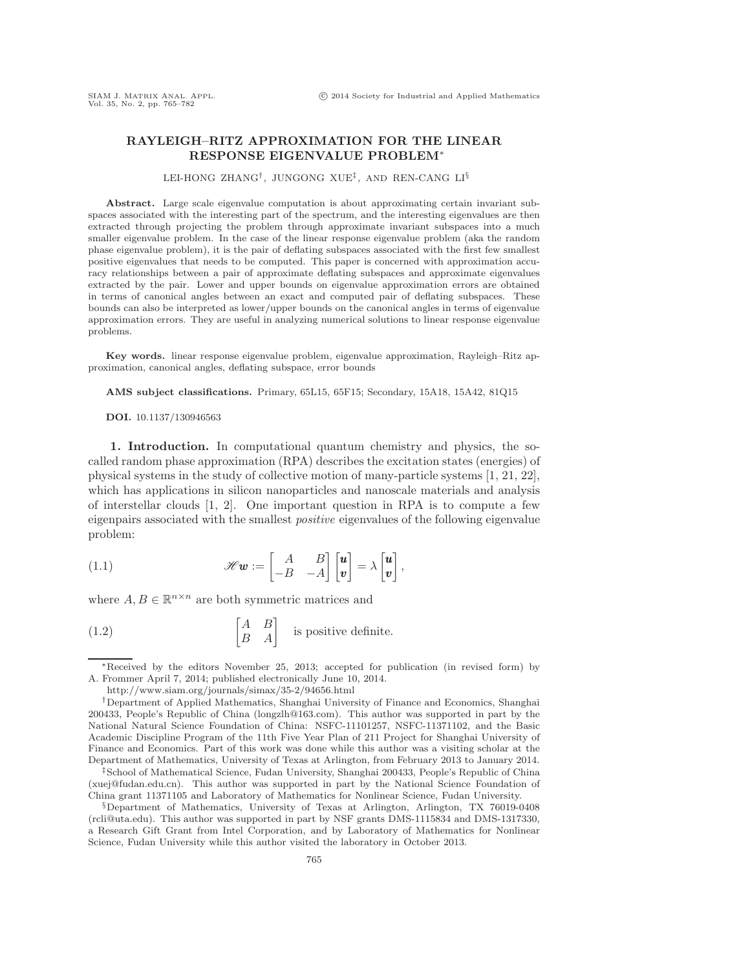## **RAYLEIGH–RITZ APPROXIMATION FOR THE LINEAR RESPONSE EIGENVALUE PROBLEM**∗

LEI-HONG ZHANG†, JUNGONG XUE‡, AND REN-CANG LI§

**Abstract.** Large scale eigenvalue computation is about approximating certain invariant subspaces associated with the interesting part of the spectrum, and the interesting eigenvalues are then extracted through projecting the problem through approximate invariant subspaces into a much smaller eigenvalue problem. In the case of the linear response eigenvalue problem (aka the random phase eigenvalue problem), it is the pair of deflating subspaces associated with the first few smallest positive eigenvalues that needs to be computed. This paper is concerned with approximation accuracy relationships between a pair of approximate deflating subspaces and approximate eigenvalues extracted by the pair. Lower and upper bounds on eigenvalue approximation errors are obtained in terms of canonical angles between an exact and computed pair of deflating subspaces. These bounds can also be interpreted as lower/upper bounds on the canonical angles in terms of eigenvalue approximation errors. They are useful in analyzing numerical solutions to linear response eigenvalue problems.

**Key words.** linear response eigenvalue problem, eigenvalue approximation, Rayleigh–Ritz approximation, canonical angles, deflating subspace, error bounds

**AMS subject classifications.** Primary, 65L15, 65F15; Secondary, 15A18, 15A42, 81Q15

## **DOI.** 10.1137/130946563

**1. Introduction.** In computational quantum chemistry and physics, the socalled random phase approximation (RPA) describes the excitation states (energies) of physical systems in the study of collective motion of many-particle systems [\[1,](#page-17-0) [21,](#page-17-1) [22\]](#page-17-2), which has applications in silicon nanoparticles and nanoscale materials and analysis of interstellar clouds  $[1, 2]$  $[1, 2]$ . One important question in RPA is to compute a few eigenpairs associated with the smallest *positive* eigenvalues of the following eigenvalue problem:

<span id="page-0-0"></span>(1.1) 
$$
\mathscr{H}\mathbf{w} := \begin{bmatrix} A & B \\ -B & -A \end{bmatrix} \begin{bmatrix} \mathbf{u} \\ \mathbf{v} \end{bmatrix} = \lambda \begin{bmatrix} \mathbf{u} \\ \mathbf{v} \end{bmatrix},
$$

where  $A, B \in \mathbb{R}^{n \times n}$  are both symmetric matrices and

<span id="page-0-1"></span>(1.2) 
$$
\begin{bmatrix} A & B \\ B & A \end{bmatrix}
$$
 is positive definite.

<sup>∗</sup>Received by the editors November 25, 2013; accepted for publication (in revised form) by A. Frommer April 7, 2014; published electronically June 10, 2014.

<http://www.siam.org/journals/simax/35-2/94656.html>

<sup>†</sup>Department of Applied Mathematics, Shanghai University of Finance and Economics, Shanghai 200433, People's Republic of China [\(longzlh@163.com\)](mailto:longzlh@163.com). This author was supported in part by the National Natural Science Foundation of China: NSFC-11101257, NSFC-11371102, and the Basic Academic Discipline Program of the 11th Five Year Plan of 211 Project for Shanghai University of Finance and Economics. Part of this work was done while this author was a visiting scholar at the Department of Mathematics, University of Texas at Arlington, from February 2013 to January 2014.

<sup>‡</sup>School of Mathematical Science, Fudan University, Shanghai 200433, People's Republic of China [\(xuej@fudan.edu.cn\)](mailto:xuej@fudan.edu.cn). This author was supported in part by the National Science Foundation of China grant 11371105 and Laboratory of Mathematics for Nonlinear Science, Fudan University.

<sup>§</sup>Department of Mathematics, University of Texas at Arlington, Arlington, TX 76019-0408 [\(rcli@uta.edu\)](mailto:rcli@uta.edu). This author was supported in part by NSF grants DMS-1115834 and DMS-1317330, a Research Gift Grant from Intel Corporation, and by Laboratory of Mathematics for Nonlinear Science, Fudan University while this author visited the laboratory in October 2013.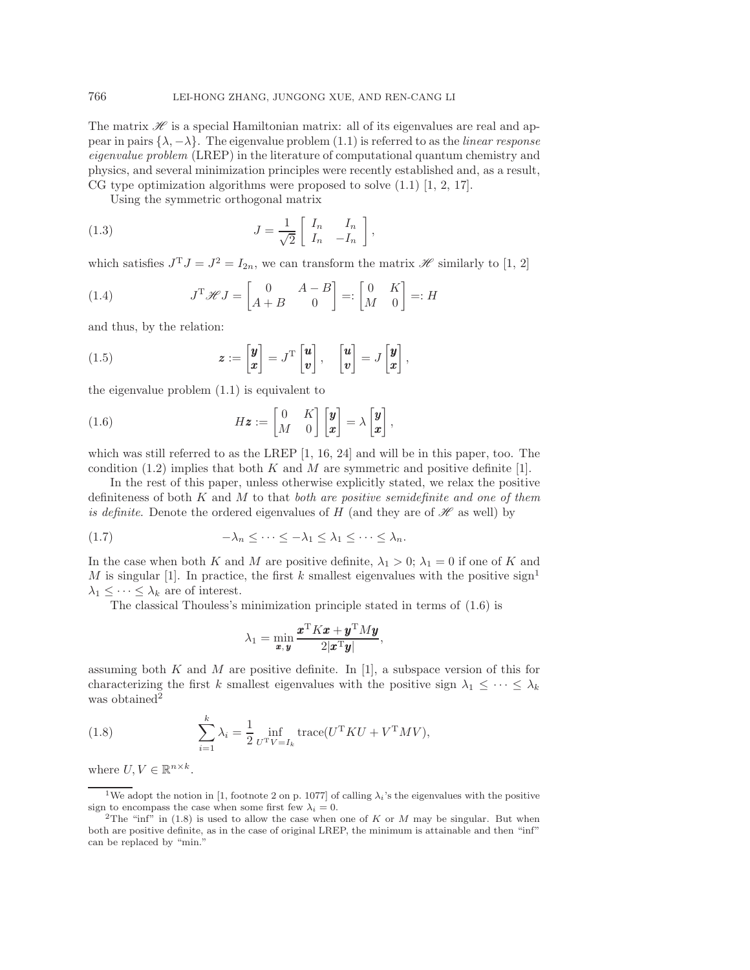The matrix  $\mathscr H$  is a special Hamiltonian matrix: all of its eigenvalues are real and appear in pairs  $\{\lambda, -\lambda\}$ . The eigenvalue problem [\(1.1\)](#page-0-0) is referred to as the *linear response eigenvalue problem* (LREP) in the literature of computational quantum chemistry and physics, and several minimization principles were recently established and, as a result, CG type optimization algorithms were proposed to solve [\(1.1\)](#page-0-0) [\[1,](#page-17-0) [2,](#page-17-3) [17\]](#page-17-4).

Using the symmetric orthogonal matrix

(1.3) 
$$
J = \frac{1}{\sqrt{2}} \begin{bmatrix} I_n & I_n \\ I_n & -I_n \end{bmatrix},
$$

which satisfies  $J^T J = J^2 = I_{2n}$ , we can transform the matrix *H* similarly to [\[1,](#page-17-0) [2\]](#page-17-3)

(1.4) 
$$
J^{\mathrm{T}}\mathscr{H}J = \begin{bmatrix} 0 & A-B \\ A+B & 0 \end{bmatrix} =: \begin{bmatrix} 0 & K \\ M & 0 \end{bmatrix} =: H
$$

and thus, by the relation:

(1.5) 
$$
\mathbf{z} := \begin{bmatrix} \mathbf{y} \\ \mathbf{x} \end{bmatrix} = J^{\mathrm{T}} \begin{bmatrix} \mathbf{u} \\ \mathbf{v} \end{bmatrix}, \quad \begin{bmatrix} \mathbf{u} \\ \mathbf{v} \end{bmatrix} = J \begin{bmatrix} \mathbf{y} \\ \mathbf{x} \end{bmatrix},
$$

the eigenvalue problem [\(1.1\)](#page-0-0) is equivalent to

<span id="page-1-1"></span>(1.6) 
$$
H\mathbf{z} := \begin{bmatrix} 0 & K \\ M & 0 \end{bmatrix} \begin{bmatrix} \mathbf{y} \\ \mathbf{x} \end{bmatrix} = \lambda \begin{bmatrix} \mathbf{y} \\ \mathbf{x} \end{bmatrix},
$$

which was still referred to as the LREP [\[1,](#page-17-0) [16,](#page-17-5) [24\]](#page-17-6) and will be in this paper, too. The condition  $(1.2)$  implies that both K and M are symmetric and positive definite [\[1\]](#page-17-0).

In the rest of this paper, unless otherwise explicitly stated, we relax the positive definiteness of both K and M to that *both are positive semidefinite and one of them is definite*. Denote the ordered eigenvalues of  $H$  (and they are of  $\mathscr H$  as well) by

$$
(1.7) \qquad \qquad -\lambda_n \leq \cdots \leq -\lambda_1 \leq \lambda_1 \leq \cdots \leq \lambda_n.
$$

In the case when both K and M are positive definite,  $\lambda_1 > 0$ ;  $\lambda_1 = 0$  if one of K and M is singular [\[1\]](#page-17-0). In practice, the first k smallest eigenvalues with the positive sign<sup>[1](#page-1-0)</sup>  $\lambda_1 \leq \cdots \leq \lambda_k$  are of interest.

The classical Thouless's minimization principle stated in terms of [\(1.6\)](#page-1-1) is

<span id="page-1-4"></span>
$$
\lambda_1 = \min_{\boldsymbol{x}, \boldsymbol{y}} \frac{\boldsymbol{x}^{\mathrm{T}} K \boldsymbol{x} + \boldsymbol{y}^{\mathrm{T}} M \boldsymbol{y}}{2|\boldsymbol{x}^{\mathrm{T}} \boldsymbol{y}|},
$$

assuming both K and M are positive definite. In [\[1\]](#page-17-0), a subspace version of this for characterizing the first k smallest eigenvalues with the positive sign  $\lambda_1 \leq \cdots \leq \lambda_k$ was obtained<sup>[2](#page-1-2)</sup>

<span id="page-1-3"></span>(1.8) 
$$
\sum_{i=1}^{k} \lambda_i = \frac{1}{2} \inf_{U^{\mathrm{T}}V = I_k} \text{trace}(U^{\mathrm{T}}KU + V^{\mathrm{T}}MV),
$$

where  $U, V \in \mathbb{R}^{n \times k}$ .

<span id="page-1-0"></span><sup>1</sup>We adopt the notion in [\[1,](#page-17-0) footnote 2 on p. 1077] of calling  $\lambda_i$ 's the eigenvalues with the positive sign to encompass the case when some first few  $\lambda_i = 0$ .

<span id="page-1-2"></span><sup>&</sup>lt;sup>2</sup>The "inf" in [\(1.8\)](#page-1-3) is used to allow the case when one of K or M may be singular. But when both are positive definite, as in the case of original LREP, the minimum is attainable and then "inf" can be replaced by "min."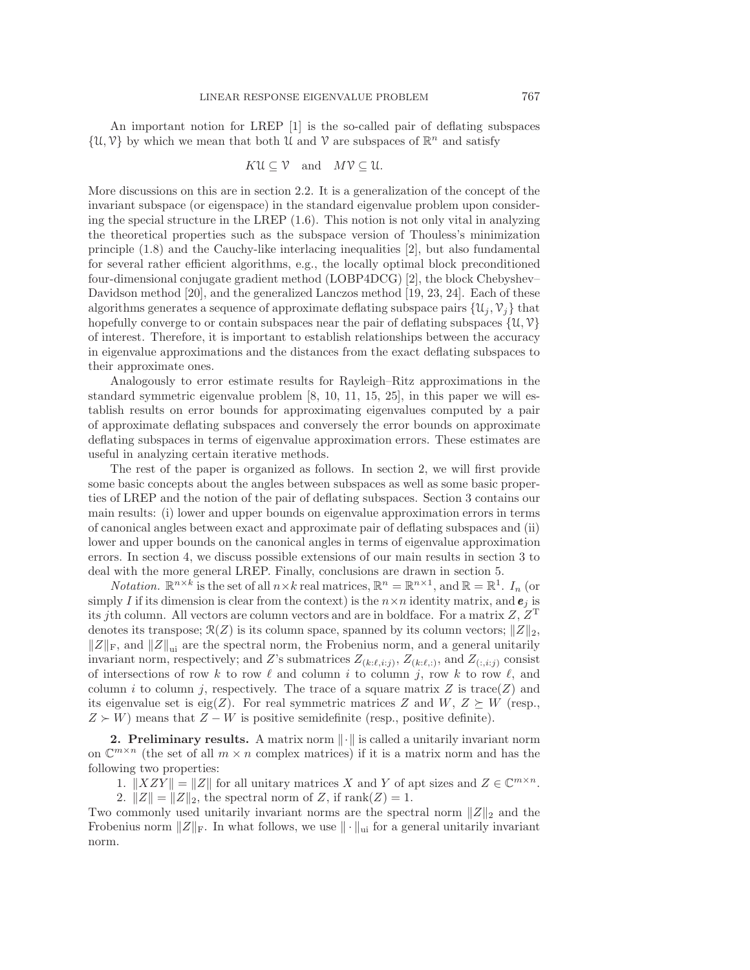An important notion for LREP [\[1\]](#page-17-0) is the so-called pair of deflating subspaces  $\{\mathcal{U}, \mathcal{V}\}\$  by which we mean that both  $\mathcal U$  and  $\mathcal V$  are subspaces of  $\mathbb{R}^n$  and satisfy

$$
KU \subseteq V
$$
 and  $MV \subseteq U$ .

More discussions on this are in section [2.2.](#page-4-0) It is a generalization of the concept of the invariant subspace (or eigenspace) in the standard eigenvalue problem upon considering the special structure in the LREP [\(1.6\)](#page-1-1). This notion is not only vital in analyzing the theoretical properties such as the subspace version of Thouless's minimization principle [\(1.8\)](#page-1-3) and the Cauchy-like interlacing inequalities [\[2\]](#page-17-3), but also fundamental for several rather efficient algorithms, e.g., the locally optimal block preconditioned four-dimensional conjugate gradient method (LOBP4DCG) [\[2\]](#page-17-3), the block Chebyshev– Davidson method [\[20\]](#page-17-7), and the generalized Lanczos method [\[19,](#page-17-8) [23,](#page-17-9) [24\]](#page-17-6). Each of these algorithms generates a sequence of approximate deflating subspace pairs  $\{u_i, v_i\}$  that hopefully converge to or contain subspaces near the pair of deflating subspaces  $\{u, v\}$ of interest. Therefore, it is important to establish relationships between the accuracy in eigenvalue approximations and the distances from the exact deflating subspaces to their approximate ones.

Analogously to error estimate results for Rayleigh–Ritz approximations in the standard symmetric eigenvalue problem [\[8,](#page-17-10) [10,](#page-17-11) [11,](#page-17-12) [15,](#page-17-13) [25\]](#page-17-14), in this paper we will establish results on error bounds for approximating eigenvalues computed by a pair of approximate deflating subspaces and conversely the error bounds on approximate deflating subspaces in terms of eigenvalue approximation errors. These estimates are useful in analyzing certain iterative methods.

The rest of the paper is organized as follows. In section [2,](#page-2-0) we will first provide some basic concepts about the angles between subspaces as well as some basic properties of LREP and the notion of the pair of deflating subspaces. Section [3](#page-7-0) contains our main results: (i) lower and upper bounds on eigenvalue approximation errors in terms of canonical angles between exact and approximate pair of deflating subspaces and (ii) lower and upper bounds on the canonical angles in terms of eigenvalue approximation errors. In section [4,](#page-15-0) we discuss possible extensions of our main results in section [3](#page-7-0) to deal with the more general LREP. Finally, conclusions are drawn in section [5.](#page-16-0)

*Notation.*  $\mathbb{R}^{n \times k}$  is the set of all  $n \times k$  real matrices,  $\mathbb{R}^n = \mathbb{R}^{n \times 1}$ , and  $\mathbb{R} = \mathbb{R}^1$ .  $I_n$  (or simply I if its dimension is clear from the context) is the  $n \times n$  identity matrix, and  $e_i$  is its jth column. All vectors are column vectors and are in boldface. For a matrix  $Z, Z<sup>T</sup>$ denotes its transpose;  $\mathcal{R}(Z)$  is its column space, spanned by its column vectors;  $||Z||_2$ ,  $||Z||_F$ , and  $||Z||_{\text{ui}}$  are the spectral norm, the Frobenius norm, and a general unitarily invariant norm, respectively; and Z's submatrices  $Z_{(k:\ell,i:j)}$ ,  $Z_{(k:\ell,i:j)}$ , and  $Z_{(:,i:j)}$  consist of intersections of row k to row  $\ell$  and column i to column j, row k to row  $\ell$ , and column i to column j, respectively. The trace of a square matrix Z is trace(Z) and its eigenvalue set is eig(Z). For real symmetric matrices Z and  $W, Z \succeq W$  (resp.,  $Z \succ W$ ) means that  $Z - W$  is positive semidefinite (resp., positive definite).

<span id="page-2-0"></span>**2. Preliminary results.** A matrix norm  $\|\cdot\|$  is called a unitarily invariant norm on  $\mathbb{C}^{m \times n}$  (the set of all  $m \times n$  complex matrices) if it is a matrix norm and has the following two properties:

1.  $||XZY|| = ||Z||$  for all unitary matrices X and Y of apt sizes and  $Z \in \mathbb{C}^{m \times n}$ .

2.  $||Z|| = ||Z||_2$ , the spectral norm of Z, if rank $(Z) = 1$ .

Two commonly used unitarily invariant norms are the spectral norm  $||Z||_2$  and the Frobenius norm  $||Z||_F$ . In what follows, we use  $||\cdot||_{\text{ui}}$  for a general unitarily invariant norm.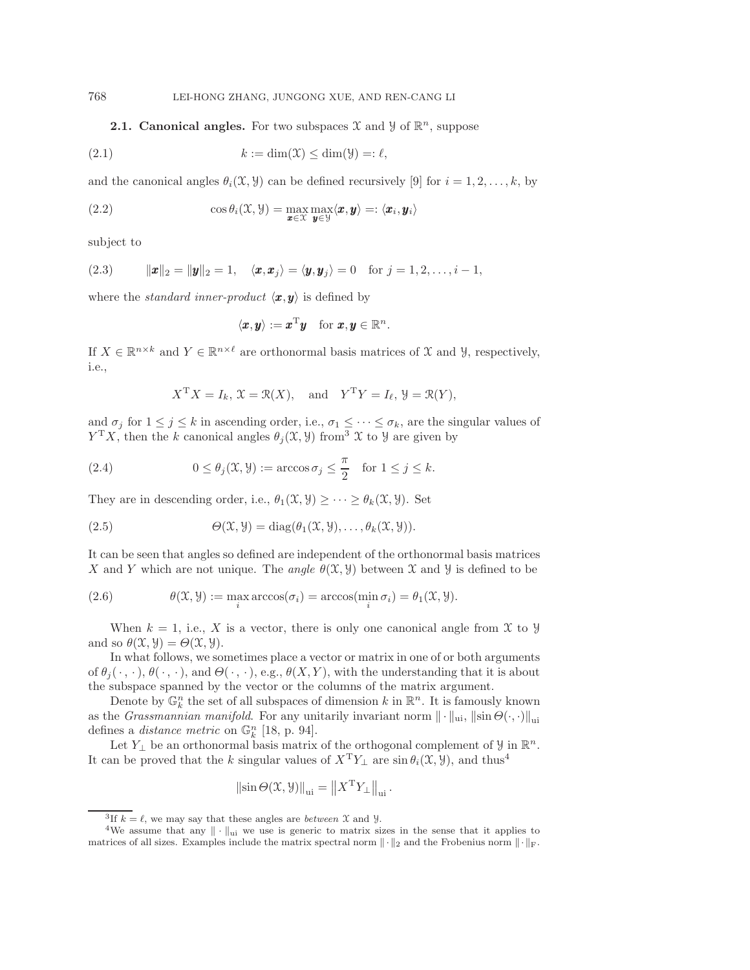**2.1. Canonical angles.** For two subspaces  $\mathcal{X}$  and  $\mathcal{Y}$  of  $\mathbb{R}^n$ , suppose

(2.1) 
$$
k := \dim(\mathfrak{X}) \le \dim(\mathfrak{Y}) =: \ell,
$$

and the canonical angles  $\theta_i(\mathfrak{X}, \mathfrak{Y})$  can be defined recursively [\[9\]](#page-17-15) for  $i = 1, 2, \ldots, k$ , by

(2.2) 
$$
\cos \theta_i(\mathfrak{X}, \mathfrak{Y}) = \max_{\mathbf{x} \in \mathfrak{X}} \max_{\mathbf{y} \in \mathfrak{Y}} \langle \mathbf{x}, \mathbf{y} \rangle =: \langle \mathbf{x}_i, \mathbf{y}_i \rangle
$$

<span id="page-3-3"></span>subject to

(2.3) 
$$
\|\boldsymbol{x}\|_2 = \|\boldsymbol{y}\|_2 = 1, \quad \langle \boldsymbol{x}, \boldsymbol{x}_j \rangle = \langle \boldsymbol{y}, \boldsymbol{y}_j \rangle = 0 \quad \text{for } j = 1, 2, \ldots, i-1,
$$

where the *standard inner-product*  $\langle x, y \rangle$  is defined by

<span id="page-3-2"></span>
$$
\langle \boldsymbol{x}, \boldsymbol{y} \rangle := \boldsymbol{x}^{\mathrm{T}} \boldsymbol{y} \quad \text{for } \boldsymbol{x}, \boldsymbol{y} \in \mathbb{R}^n.
$$

If  $X \in \mathbb{R}^{n \times k}$  and  $Y \in \mathbb{R}^{n \times \ell}$  are orthonormal basis matrices of X and Y, respectively, i.e.,

$$
X^{\mathrm{T}}X = I_k
$$
,  $\mathfrak{X} = \mathfrak{R}(X)$ , and  $Y^{\mathrm{T}}Y = I_\ell$ ,  $\mathfrak{Y} = \mathfrak{R}(Y)$ ,

and  $\sigma_j$  for  $1 \leq j \leq k$  in ascending order, i.e.,  $\sigma_1 \leq \cdots \leq \sigma_k$ , are the singular values of  $Y^{\mathrm{T}}X$ , then the k canonical angles  $\theta_j(\mathfrak{X}, \mathfrak{Y})$  from  $\mathfrak{X}$  to  $\mathfrak{Y}$  are given by

(2.4) 
$$
0 \le \theta_j(\mathfrak{X}, \mathfrak{Y}) := \arccos \sigma_j \le \frac{\pi}{2} \quad \text{for } 1 \le j \le k.
$$

They are in descending order, i.e.,  $\theta_1(\mathfrak{X}, \mathfrak{Y}) \geq \cdots \geq \theta_k(\mathfrak{X}, \mathfrak{Y})$ . Set

(2.5) 
$$
\Theta(\mathfrak{X}, \mathfrak{Y}) = \mathrm{diag}(\theta_1(\mathfrak{X}, \mathfrak{Y}), \ldots, \theta_k(\mathfrak{X}, \mathfrak{Y})).
$$

It can be seen that angles so defined are independent of the orthonormal basis matrices X and Y which are not unique. The *angle*  $\theta(\mathfrak{X}, \mathfrak{Y})$  between X and Y is defined to be

(2.6) 
$$
\theta(\mathfrak{X}, \mathfrak{Y}) := \max_{i} \arccos(\sigma_i) = \arccos(\min_{i} \sigma_i) = \theta_1(\mathfrak{X}, \mathfrak{Y}).
$$

When  $k = 1$ , i.e., X is a vector, there is only one canonical angle from X to y and so  $\theta(\mathfrak{X}, \mathfrak{Y}) = \Theta(\mathfrak{X}, \mathfrak{Y}).$ 

In what follows, we sometimes place a vector or matrix in one of or both arguments of  $\theta_i(\cdot, \cdot)$ ,  $\theta(\cdot, \cdot)$ , and  $\Theta(\cdot, \cdot)$ , e.g.,  $\theta(X, Y)$ , with the understanding that it is about the subspace spanned by the vector or the columns of the matrix argument.

Denote by  $\mathbb{G}_k^n$  the set of all subspaces of dimension k in  $\mathbb{R}^n$ . It is famously known as the *Grassmannian manifold*. For any unitarily invariant norm  $\|\cdot\|_{\text{ui}}, \|\sin \Theta(\cdot, \cdot)\|_{\text{ui}}$ defines a *distance metric* on  $\mathbb{G}_k^n$  [\[18,](#page-17-16) p. 94].

Let  $Y_{\perp}$  be an orthonormal basis matrix of the orthogonal complement of  $\mathcal{Y}$  in  $\mathbb{R}^n$ . It can be proved that the k singular values of  $X^T Y_\perp$  are  $\sin \theta_i(\mathfrak{X}, \mathfrak{Y})$ , and thus<sup>[4](#page-3-1)</sup>

$$
\left\|\sin\Theta(\mathfrak{X},\mathfrak{Y})\right\|_{\text{ui}}=\left\|X^{\text{T}}Y_{\perp}\right\|_{\text{ui}}.
$$

<span id="page-3-1"></span><span id="page-3-0"></span>

<sup>&</sup>lt;sup>3</sup>If  $k = \ell$ , we may say that these angles are *between*  $\mathcal X$  and  $\mathcal Y$ .<br><sup>4</sup>We assume that any  $|| \cdot ||_{ui}$  we use is generic to matrix sizes in the sense that it applies to matrices of all sizes. Examples include the matrix spectral norm  $\|\cdot\|_2$  and the Frobenius norm  $\|\cdot\|_{\text{F}}$ .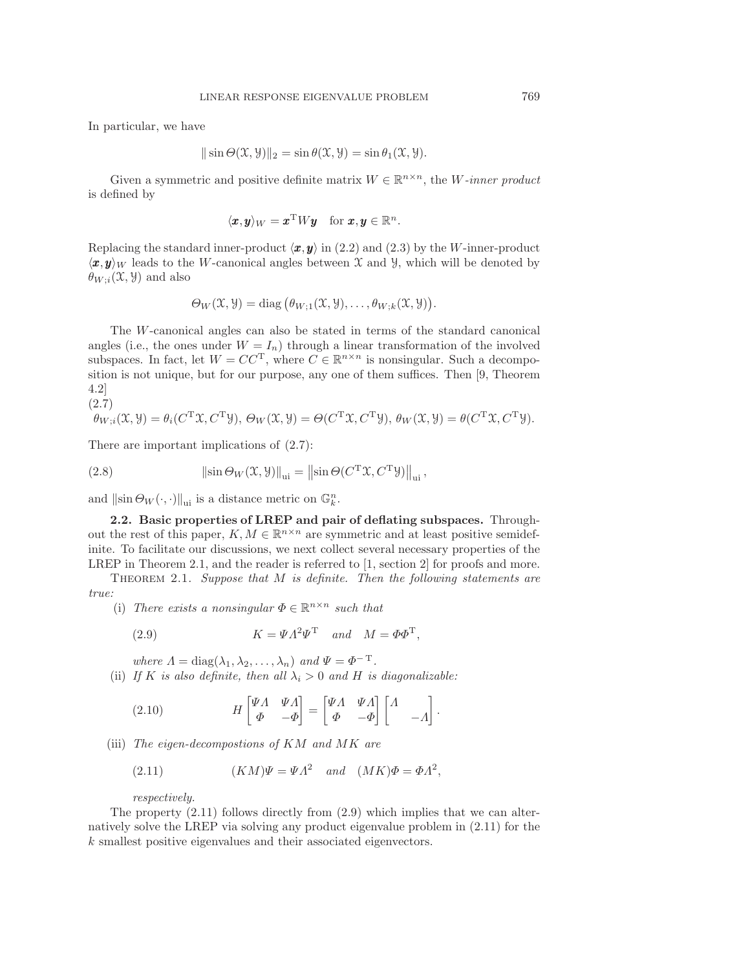In particular, we have

$$
\|\sin\Theta(\mathfrak{X},\mathfrak{Y})\|_2 = \sin\theta(\mathfrak{X},\mathfrak{Y}) = \sin\theta_1(\mathfrak{X},\mathfrak{Y}).
$$

Given a symmetric and positive definite matrix  $W \in \mathbb{R}^{n \times n}$ , the W-inner product is defined by

$$
\langle \pmb{x}, \pmb{y} \rangle_W = \pmb{x}^{\mathrm{T}} W \pmb{y} \quad \text{for } \pmb{x}, \pmb{y} \in \mathbb{R}^n.
$$

Replacing the standard inner-product  $\langle x, y \rangle$  in [\(2.2\)](#page-3-2) and [\(2.3\)](#page-3-3) by the W-inner-product  $\langle x, y \rangle_W$  leads to the W-canonical angles between X and Y, which will be denoted by  $\theta_{W;i}(\mathfrak{X}, \mathfrak{Y})$  and also

$$
\Theta_W(\mathfrak{X}, \mathfrak{Y}) = \text{diag}(\theta_{W;1}(\mathfrak{X}, \mathfrak{Y}), \ldots, \theta_{W; k}(\mathfrak{X}, \mathfrak{Y})).
$$

The W-canonical angles can also be stated in terms of the standard canonical angles (i.e., the ones under  $W = I_n$ ) through a linear transformation of the involved subspaces. In fact, let  $W = CC^{T}$ , where  $C \in \mathbb{R}^{n \times n}$  is nonsingular. Such a decomposition is not unique, but for our purpose, any one of them suffices. Then [\[9,](#page-17-15) Theorem 4.2]  $(2.7)$ 

<span id="page-4-1"></span>
$$
\theta_{W;i}(\mathfrak{X}, \mathfrak{Y}) = \theta_i(C^{\mathrm{T}} \mathfrak{X}, C^{\mathrm{T}} \mathfrak{Y}), \ \Theta_W(\mathfrak{X}, \mathfrak{Y}) = \Theta(C^{\mathrm{T}} \mathfrak{X}, C^{\mathrm{T}} \mathfrak{Y}), \ \theta_W(\mathfrak{X}, \mathfrak{Y}) = \theta(C^{\mathrm{T}} \mathfrak{X}, C^{\mathrm{T}} \mathfrak{Y}).
$$

There are important implications of [\(2.7\)](#page-4-1):

(2.8) 
$$
\|\sin \Theta_W(\mathfrak{X}, \mathfrak{Y})\|_{\text{ui}} = \|\sin \Theta(C^{\text{T}} \mathfrak{X}, C^{\text{T}} \mathfrak{Y})\|_{\text{ui}},
$$

and  $\|\sin \Theta_W(\cdot, \cdot)\|_{\text{ui}}$  is a distance metric on  $\mathbb{G}_k^n$ .

<span id="page-4-0"></span>**2.2. Basic properties of LREP and pair of deflating subspaces.** Throughout the rest of this paper,  $K, M \in \mathbb{R}^{n \times n}$  are symmetric and at least positive semidefinite. To facilitate our discussions, we next collect several necessary properties of the LREP in Theorem [2.1,](#page-4-2) and the reader is referred to [\[1,](#page-17-0) section 2] for proofs and more.

<span id="page-4-2"></span>Theorem 2.1. *Suppose that* M *is definite. Then the following statements are true:*

(i) *There exists a nonsingular*  $\Phi \in \mathbb{R}^{n \times n}$  *such that* 

<span id="page-4-4"></span>(2.9) 
$$
K = \Psi \Lambda^2 \Psi^{\mathrm{T}} \quad and \quad M = \Phi \Phi^{\mathrm{T}},
$$

*where*  $\Lambda = \text{diag}(\lambda_1, \lambda_2, \dots, \lambda_n)$  *and*  $\Psi = \Phi^{-T}$ *.* 

(ii) If K is also definite, then all  $\lambda_i > 0$  and H is diagonalizable:

(2.10) 
$$
H \begin{bmatrix} \Psi \Lambda & \Psi \Lambda \\ \Phi & -\Phi \end{bmatrix} = \begin{bmatrix} \Psi \Lambda & \Psi \Lambda \\ \Phi & -\Phi \end{bmatrix} \begin{bmatrix} \Lambda & \\ & -\Lambda \end{bmatrix}.
$$

(iii) *The eigen-decompostions of* KM *and* MK *are*

<span id="page-4-3"></span>(2.11) 
$$
(KM)\Psi = \Psi \Lambda^2 \quad and \quad (MK)\Phi = \Phi \Lambda^2,
$$

*respectively.*

The property  $(2.11)$  follows directly from  $(2.9)$  which implies that we can alternatively solve the LREP via solving any product eigenvalue problem in [\(2.11\)](#page-4-3) for the k smallest positive eigenvalues and their associated eigenvectors.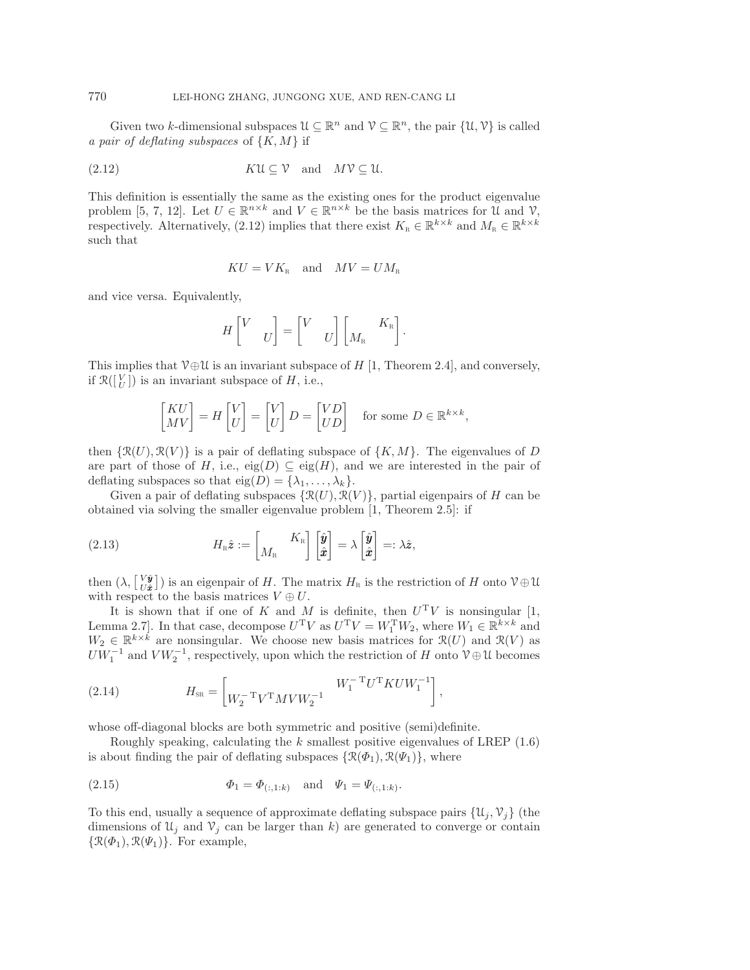Given two k-dimensional subspaces  $\mathcal{U} \subseteq \mathbb{R}^n$  and  $\mathcal{V} \subseteq \mathbb{R}^n$ , the pair  $\{\mathcal{U}, \mathcal{V}\}$  is called *a pair of deflating subspaces* of {K,M} if

(2.12) 
$$
K\mathfrak{U} \subseteq \mathfrak{V} \text{ and } M\mathfrak{V} \subseteq \mathfrak{U}.
$$

This definition is essentially the same as the existing ones for the product eigenvalue problem [\[5,](#page-17-17) [7,](#page-17-18) [12\]](#page-17-19). Let  $U \in \mathbb{R}^{n \times k}$  and  $V \in \mathbb{R}^{n \times k}$  be the basis matrices for  $\mathcal{U}$  and  $\mathcal{V}$ , respectively. Alternatively, [\(2.12\)](#page-5-0) implies that there exist  $K_{\text{R}} \in \mathbb{R}^{k \times k}$  and  $M_{\text{R}} \in \mathbb{R}^{k \times k}$ such that

<span id="page-5-0"></span>
$$
KU = VKR
$$
 and  $MV = UMR$ 

and vice versa. Equivalently,

$$
H\begin{bmatrix} V & \\ & U \end{bmatrix} = \begin{bmatrix} V & \\ & U \end{bmatrix} \begin{bmatrix} & K_{\textrm{\tiny R}} \\ M_{\textrm{\tiny R}} & \end{bmatrix}.
$$

This implies that  $\mathcal{V} \oplus \mathcal{U}$  is an invariant subspace of H [\[1,](#page-17-0) Theorem 2.4], and conversely, if  $\mathcal{R}(\begin{bmatrix} V \\ U \end{bmatrix})$  is an invariant subspace of H, i.e.,

<span id="page-5-1"></span>
$$
\begin{bmatrix} KU \\ MV \end{bmatrix} = H \begin{bmatrix} V \\ U \end{bmatrix} = \begin{bmatrix} V \\ U \end{bmatrix} D = \begin{bmatrix} VD \\ UD \end{bmatrix} \quad \text{for some } D \in \mathbb{R}^{k \times k},
$$

then  $\{\mathcal{R}(U), \mathcal{R}(V)\}\$ is a pair of deflating subspace of  $\{K, M\}$ . The eigenvalues of D are part of those of H, i.e.,  $eig(D) \subseteq eig(H)$ , and we are interested in the pair of deflating subspaces so that  $eig(D) = {\lambda_1, \ldots, \lambda_k}.$ 

Given a pair of deflating subspaces  $\{\mathcal{R}(U), \mathcal{R}(V)\}\$ , partial eigenpairs of H can be obtained via solving the smaller eigenvalue problem [\[1,](#page-17-0) Theorem 2.5]: if

(2.13) 
$$
H_{\mathbb{R}}\hat{\mathbf{z}} := \begin{bmatrix} K_{\mathbb{R}} \\ M_{\mathbb{R}} \end{bmatrix} \begin{bmatrix} \hat{\mathbf{y}} \\ \hat{\mathbf{x}} \end{bmatrix} = \lambda \begin{bmatrix} \hat{\mathbf{y}} \\ \hat{\mathbf{x}} \end{bmatrix} =: \lambda \hat{\mathbf{z}},
$$

then  $(\lambda, \begin{bmatrix} V\hat{\mathbf{y}} \\ U\hat{\mathbf{z}} \end{bmatrix})$  is an eigenpair of H. The matrix  $H_{\text{R}}$  is the restriction of H onto  $\mathcal{V} \oplus \mathcal{U}$ with respect to the basis matrices  $V \oplus U$ .

It is shown that if one of K and M is definite, then  $U<sup>T</sup>V$  is nonsingular [\[1,](#page-17-0) Lemma 2.7]. In that case, decompose  $U^T V$  as  $U^T V = W_1^T W_2$ , where  $W_1 \in \mathbb{R}^{k \times k}$  and  $W_2 \in \mathbb{R}^{k \times k}$  are nonsingular. We choose new basis matrices for  $\mathcal{R}(U)$  and  $\mathcal{R}(V)$  as  $U W_1^{-1}$  and  $V W_2^{-1}$ , respectively, upon which the restriction of H onto  $V \oplus U$  becomes

(2.14) 
$$
H_{\text{SR}} = \begin{bmatrix} W_2^{-T} V^{\text{T}} M V W_2^{-1} & W_1^{-T} U^{\text{T}} K U W_1^{-1} \end{bmatrix},
$$

whose off-diagonal blocks are both symmetric and positive (semi)definite.

<span id="page-5-2"></span>Roughly speaking, calculating the  $k$  smallest positive eigenvalues of LREP  $(1.6)$ is about finding the pair of deflating subspaces  $\{\mathcal{R}(\Phi_1), \mathcal{R}(\Psi_1)\}\$ , where

(2.15) 
$$
\Phi_1 = \Phi_{(:,1:k)} \text{ and } \Psi_1 = \Psi_{(:,1:k)}.
$$

To this end, usually a sequence of approximate deflating subspace pairs  $\{u_i, v_i\}$  (the dimensions of  $\mathfrak{U}_j$  and  $\mathfrak{V}_j$  can be larger than k) are generated to converge or contain  $\{\mathcal{R}(\Phi_1), \mathcal{R}(\Psi_1)\}\$ . For example,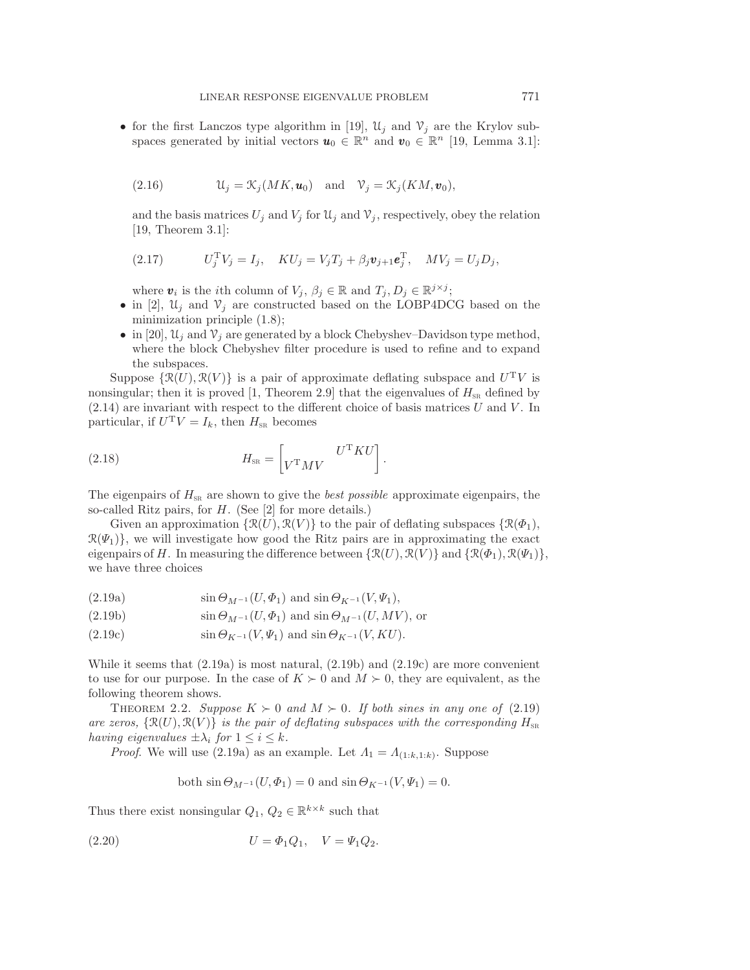• for the first Lanczos type algorithm in [\[19\]](#page-17-8),  $\mathcal{U}_j$  and  $\mathcal{V}_j$  are the Krylov subspaces generated by initial vectors  $u_0 \in \mathbb{R}^n$  and  $v_0 \in \mathbb{R}^n$  [\[19,](#page-17-8) Lemma 3.1]:

(2.16) 
$$
\mathcal{U}_j = \mathcal{K}_j(MK, \mathbf{u}_0) \quad \text{and} \quad \mathcal{V}_j = \mathcal{K}_j(KM, \mathbf{v}_0),
$$

and the basis matrices  $U_j$  and  $V_j$  for  $\mathfrak{U}_j$  and  $\mathfrak{V}_j$ , respectively, obey the relation [\[19,](#page-17-8) Theorem 3.1]:

(2.17) 
$$
U_j^{\mathrm{T}} V_j = I_j, \quad K U_j = V_j T_j + \beta_j \mathbf{v}_{j+1} \mathbf{e}_j^{\mathrm{T}}, \quad M V_j = U_j D_j,
$$

where  $\mathbf{v}_i$  is the *i*th column of  $V_j$ ,  $\beta_j \in \mathbb{R}$  and  $T_j$ ,  $D_j \in \mathbb{R}^{j \times j}$ ;

- in [\[2\]](#page-17-3),  $\mathfrak{U}_i$  and  $\mathfrak{V}_i$  are constructed based on the LOBP4DCG based on the minimization principle [\(1.8\)](#page-1-3);
- <span id="page-6-5"></span>• in [\[20\]](#page-17-7),  $\mathcal{U}_i$  and  $\mathcal{V}_i$  are generated by a block Chebyshev–Davidson type method, where the block Chebyshev filter procedure is used to refine and to expand the subspaces.

Suppose  $\{\mathcal{R}(U), \mathcal{R}(V)\}\$ is a pair of approximate deflating subspace and  $U^{\mathrm{T}}V$  is nonsingular; then it is proved [\[1,](#page-17-0) Theorem 2.9] that the eigenvalues of  $H_{\text{SR}}$  defined by  $(2.14)$  are invariant with respect to the different choice of basis matrices U and V. In particular, if  $U^T V = I_k$ , then  $H_{\text{SR}}$  becomes

(2.18) 
$$
H_{\text{SR}} = \begin{bmatrix} U^{\text{T}} K U \\ V^{\text{T}} M V \end{bmatrix}.
$$

The eigenpairs of  $H_{\text{SR}}$  are shown to give the *best possible* approximate eigenpairs, the so-called Ritz pairs, for H. (See [\[2\]](#page-17-3) for more details.)

Given an approximation  $\{\mathcal{R}(U), \mathcal{R}(V)\}\$  to the pair of deflating subspaces  $\{\mathcal{R}(\Phi_1),\$  $\mathcal{R}(\Psi_1)$ , we will investigate how good the Ritz pairs are in approximating the exact eigenpairs of H. In measuring the difference between  $\{\mathcal{R}(U), \mathcal{R}(V)\}\$  and  $\{\mathcal{R}(\Phi_1), \mathcal{R}(\Psi_1)\}\$ , we have three choices

<span id="page-6-3"></span><span id="page-6-0"></span>
$$
(2.19a) \t\t\t\t\t\sin \Theta_{M^{-1}}(U, \Phi_1) \t\t\t\t\t\sin \Theta_{K^{-1}}(V, \Psi_1),
$$

<span id="page-6-1"></span>(2.19b) 
$$
\sin \Theta_{M^{-1}}(U, \Phi_1) \text{ and } \sin \Theta_{M^{-1}}(U, MV), \text{ or}
$$

<span id="page-6-2"></span>
$$
(2.19c) \t\t\t\t\t\sin\Theta_{K^{-1}}(V,\Psi_1) \t\t\t\t\t\sin\Theta_{K^{-1}}(V,KU).
$$

While it seems that  $(2.19a)$  is most natural,  $(2.19b)$  and  $(2.19c)$  are more convenient to use for our purpose. In the case of  $K \succ 0$  and  $M \succ 0$ , they are equivalent, as the following theorem shows.

<span id="page-6-6"></span>THEOREM 2.2. *Suppose*  $K \succ 0$  and  $M \succ 0$ . If both sines in any one of [\(2.19\)](#page-6-3) *are zeros,*  $\{\mathcal{R}(U), \mathcal{R}(V)\}\$  *is the pair of deflating subspaces with the corresponding*  $H_{\text{SR}}$ *having eigenvalues*  $\pm \lambda_i$  *for*  $1 \leq i \leq k$ *.* 

*Proof.* We will use [\(2.19a\)](#page-6-0) as an example. Let  $\Lambda_1 = \Lambda_{(1:k,1:k)}$ . Suppose

<span id="page-6-4"></span>both 
$$
\sin \Theta_{M^{-1}}(U, \Phi_1) = 0
$$
 and  $\sin \Theta_{K^{-1}}(V, \Psi_1) = 0$ .

Thus there exist nonsingular  $Q_1,\,Q_2\in\mathbb{R}^{k\times k}$  such that

(2.20) 
$$
U = \Phi_1 Q_1, \quad V = \Psi_1 Q_2.
$$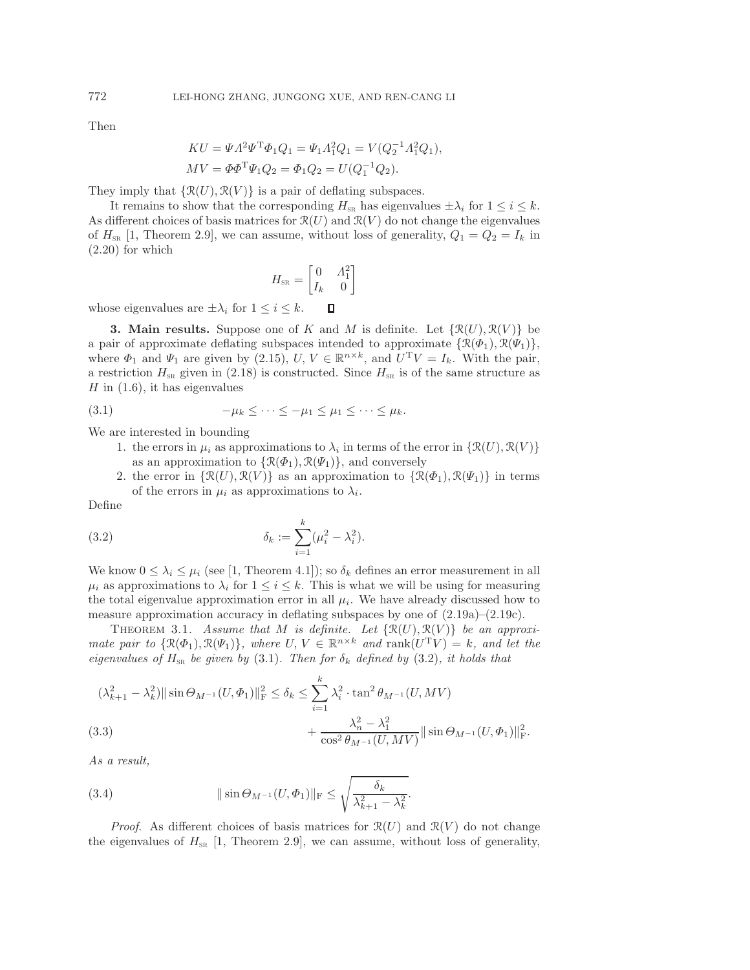Then

$$
KU = \Psi A^2 \Psi^T \Phi_1 Q_1 = \Psi_1 A_1^2 Q_1 = V(Q_2^{-1} A_1^2 Q_1),
$$
  
\n
$$
MV = \Phi \Phi^T \Psi_1 Q_2 = \Phi_1 Q_2 = U(Q_1^{-1} Q_2).
$$

They imply that  $\{\mathcal{R}(U), \mathcal{R}(V)\}\$ is a pair of deflating subspaces.

It remains to show that the corresponding  $H_{\text{SR}}$  has eigenvalues  $\pm \lambda_i$  for  $1 \leq i \leq k$ . As different choices of basis matrices for  $\mathcal{R}(U)$  and  $\mathcal{R}(V)$  do not change the eigenvalues of  $H_{\text{SR}}$  [\[1,](#page-17-0) Theorem 2.9], we can assume, without loss of generality,  $Q_1 = Q_2 = I_k$  in [\(2.20\)](#page-6-4) for which

<span id="page-7-1"></span>
$$
H_{\rm SR} = \begin{bmatrix} 0 & A_1^2 \\ I_k & 0 \end{bmatrix}
$$

<span id="page-7-0"></span>whose eigenvalues are  $\pm \lambda_i$  for  $1 \leq i \leq k$ .  $\Box$ 

**3. Main results.** Suppose one of K and M is definite. Let  $\{\mathcal{R}(U), \mathcal{R}(V)\}\)$  be a pair of approximate deflating subspaces intended to approximate  $\{\mathcal{R}(\Phi_1), \mathcal{R}(\Psi_1)\},\$ where  $\Phi_1$  and  $\Psi_1$  are given by [\(2.15\)](#page-5-2),  $U, V \in \mathbb{R}^{n \times k}$ , and  $U^T V = I_k$ . With the pair, a restriction  $H_{\text{SR}}$  given in [\(2.18\)](#page-6-5) is constructed. Since  $H_{\text{SR}}$  is of the same structure as  $H$  in  $(1.6)$ , it has eigenvalues

$$
(3.1) \qquad \qquad -\mu_k \leq \cdots \leq -\mu_1 \leq \mu_1 \leq \cdots \leq \mu_k.
$$

We are interested in bounding

- 1. the errors in  $\mu_i$  as approximations to  $\lambda_i$  in terms of the error in  $\{ \mathcal{R}(U), \mathcal{R}(V) \}$ as an approximation to  $\{\mathcal{R}(\Phi_1), \mathcal{R}(\Psi_1)\}\$ , and conversely
- <span id="page-7-2"></span>2. the error in  $\{\mathcal{R}(U), \mathcal{R}(V)\}\$ as an approximation to  $\{\mathcal{R}(\Phi_1), \mathcal{R}(\Psi_1)\}\$ in terms of the errors in  $\mu_i$  as approximations to  $\lambda_i$ .

Define

(3.2) 
$$
\delta_k := \sum_{i=1}^k (\mu_i^2 - \lambda_i^2).
$$

We know  $0 \leq \lambda_i \leq \mu_i$  (see [\[1,](#page-17-0) Theorem 4.1]); so  $\delta_k$  defines an error measurement in all  $\mu_i$  as approximations to  $\lambda_i$  for  $1 \leq i \leq k$ . This is what we will be using for measuring the total eigenvalue approximation error in all  $\mu_i$ . We have already discussed how to measure approximation accuracy in deflating subspaces by one of  $(2.19a)-(2.19c)$  $(2.19a)-(2.19c)$  $(2.19a)-(2.19c)$ .

<span id="page-7-4"></span>THEOREM 3.1. Assume that M is definite. Let  $\{\mathcal{R}(U), \mathcal{R}(V)\}\$  be an approxi*mate pair to*  $\{\mathcal{R}(\Phi_1), \mathcal{R}(\Psi_1)\}\$ *, where*  $U, V \in \mathbb{R}^{n \times k}$  *and* rank $(U^T V) = k$ *, and let the eigenvalues of*  $H_{SR}$  *be given by* [\(3.1\)](#page-7-1)*. Then for*  $\delta_k$  *defined by* [\(3.2\)](#page-7-2)*, it holds that* 

$$
(\lambda_{k+1}^2 - \lambda_k^2) \|\sin \Theta_{M^{-1}}(U, \Phi_1)\|_{\mathrm{F}}^2 \le \delta_k \le \sum_{i=1}^k \lambda_i^2 \cdot \tan^2 \theta_{M^{-1}}(U, MV)
$$
  
(3.3)  

$$
+ \frac{\lambda_n^2 - \lambda_1^2}{\cos^2 \theta_{M^{-1}}(U, MV)} \|\sin \Theta_{M^{-1}}(U, \Phi_1)\|_{\mathrm{F}}^2.
$$

<span id="page-7-5"></span><span id="page-7-3"></span>*As a result,*

(3.4) 
$$
\|\sin \Theta_{M^{-1}}(U, \Phi_1)\|_{\rm F} \le \sqrt{\frac{\delta_k}{\lambda_{k+1}^2 - \lambda_k^2}}.
$$

*Proof.* As different choices of basis matrices for  $\mathcal{R}(U)$  and  $\mathcal{R}(V)$  do not change the eigenvalues of  $H_{SR}$  [\[1,](#page-17-0) Theorem 2.9], we can assume, without loss of generality,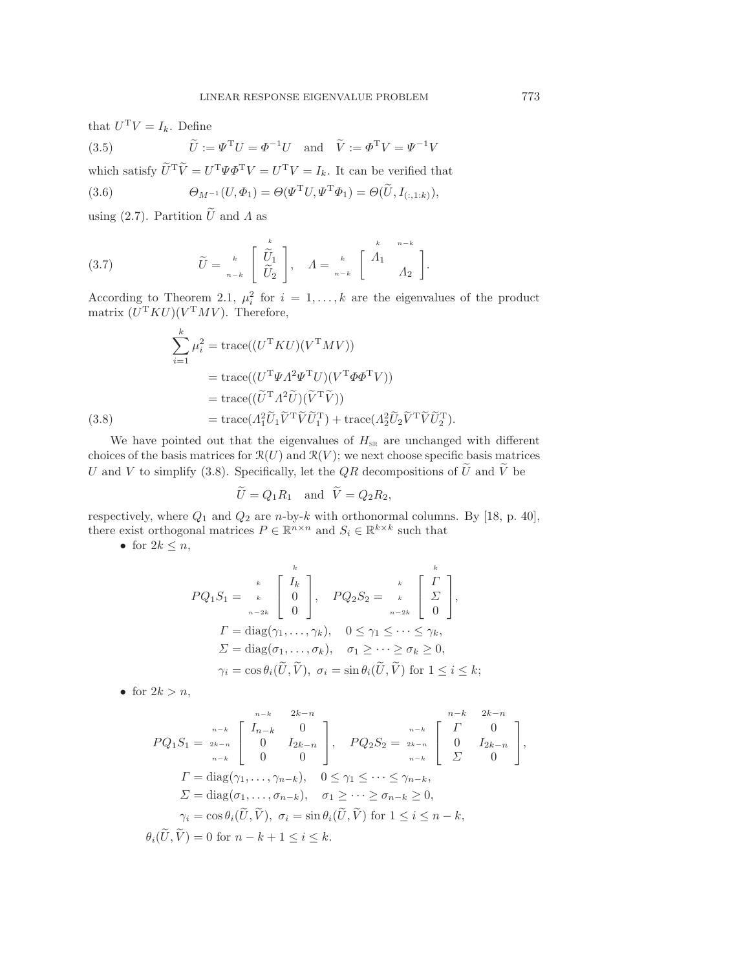that  $U^{\mathrm{T}}V = I_k$ . Define

<span id="page-8-3"></span><span id="page-8-2"></span>(3.5) 
$$
\widetilde{U} := \Psi^{\mathrm{T}} U = \Phi^{-1} U \text{ and } \widetilde{V} := \Phi^{\mathrm{T}} V = \Psi^{-1} V
$$

which satisfy  $\widetilde{U}^T \widetilde{V} = U^T \Psi \Phi^T V = U^T V = I_k$ . It can be verified that

(3.6) 
$$
\Theta_{M^{-1}}(U,\Phi_1)=\Theta(\Psi^{\mathrm{T}}U,\Psi^{\mathrm{T}}\Phi_1)=\Theta(\widetilde{U},I_{(:,1:k)}),
$$

<span id="page-8-1"></span>using [\(2.7\)](#page-4-1). Partition  $\tilde{U}$  and  $\tilde{\Lambda}$  as

(3.7) 
$$
\widetilde{U} = \begin{bmatrix} k \\ \widetilde{U}_1 \\ \widetilde{U}_2 \end{bmatrix}, \quad A = \begin{bmatrix} k \\ k \\ n-k \end{bmatrix} \begin{bmatrix} k \\ \Lambda_1 \\ \Lambda_2 \end{bmatrix}.
$$

According to Theorem [2.1,](#page-4-2)  $\mu_i^2$  for  $i = 1, ..., k$  are the eigenvalues of the product matrix  $(U^{\mathrm{T}}KU)(V^{\mathrm{T}}MV)$ . Therefore,

$$
\sum_{i=1}^{k} \mu_i^2 = \text{trace}((U^{\text{T}} K U)(V^{\text{T}} M V))
$$

$$
= \text{trace}((U^{\text{T}} \Psi A^2 \Psi^{\text{T}} U)(V^{\text{T}} \Phi \Phi^{\text{T}} V))
$$

$$
= \text{trace}((\widetilde{U}^{\text{T}} A^2 \widetilde{U})(\widetilde{V}^{\text{T}} \widetilde{V}))
$$

$$
= \text{trace}(A_1^2 \widetilde{U}_1 \widetilde{V}^{\text{T}} \widetilde{V} \widetilde{U}_1^{\text{T}}) + \text{trace}(A_2^2 \widetilde{U}_2 \widetilde{V}^{\text{T}} \widetilde{V} \widetilde{U}_2^{\text{T}}).
$$

<span id="page-8-0"></span>We have pointed out that the eigenvalues of  $H_{SR}$  are unchanged with different choices of the basis matrices for  $\mathcal{R}(U)$  and  $\mathcal{R}(V)$ ; we next choose specific basis matrices U and V to simplify [\(3.8\)](#page-8-0). Specifically, let the QR decompositions of  $\tilde{U}$  and  $\tilde{V} = O_1 R_1$  and  $\tilde{V} = O_2 R_2$ .

$$
U = Q_1 R_1 \quad \text{and} \quad V = Q_2 R_2,
$$

respectively, where  $Q_1$  and  $Q_2$  are n-by-k with orthonormal columns. By [\[18,](#page-17-16) p. 40], there exist orthogonal matrices  $P \in \mathbb{R}^{n \times n}$  and  $S_i \in \mathbb{R}^{k \times k}$  such that

• for  $2k \leq n$ ,

$$
PQ_1S_1 = \begin{bmatrix} k \\ k \\ 0 \\ 0 \end{bmatrix}, \quad PQ_2S_2 = \begin{bmatrix} k \\ k \\ k \\ n-2k \end{bmatrix},
$$
  
\n
$$
\Gamma = \text{diag}(\gamma_1, ..., \gamma_k), \quad 0 \le \gamma_1 \le ... \le \gamma_k,
$$
  
\n
$$
\Sigma = \text{diag}(\sigma_1, ..., \sigma_k), \quad \sigma_1 \ge ... \ge \sigma_k \ge 0,
$$
  
\n
$$
\gamma_i = \cos \theta_i(\widetilde{U}, \widetilde{V}), \quad \sigma_i = \sin \theta_i(\widetilde{U}, \widetilde{V}) \text{ for } 1 \le i \le k;
$$

• for  $2k>n$ ,

$$
PQ_1S_1 = \begin{bmatrix} \frac{n-k}{n-k} & 2k-n \\ 0 & I_{2k-n} \\ 0 & 0 \end{bmatrix}, \quad PQ_2S_2 = \begin{bmatrix} \frac{n-k}{2k-n} & 2k-n \\ 0 & I_{2k-n} \\ \frac{n-k}{2} & 0 \end{bmatrix},
$$
\n
$$
\Gamma = \text{diag}(\gamma_1, \dots, \gamma_{n-k}), \quad 0 \leq \gamma_1 \leq \dots \leq \gamma_{n-k},
$$
\n
$$
\Sigma = \text{diag}(\sigma_1, \dots, \sigma_{n-k}), \quad \sigma_1 \geq \dots \geq \sigma_{n-k} \geq 0,
$$
\n
$$
\gamma_i = \cos \theta_i(\widetilde{U}, \widetilde{V}), \quad \sigma_i = \sin \theta_i(\widetilde{U}, \widetilde{V}) \text{ for } 1 \leq i \leq n-k,
$$
\n
$$
\theta_i(\widetilde{U}, \widetilde{V}) = 0 \text{ for } n-k+1 \leq i \leq k.
$$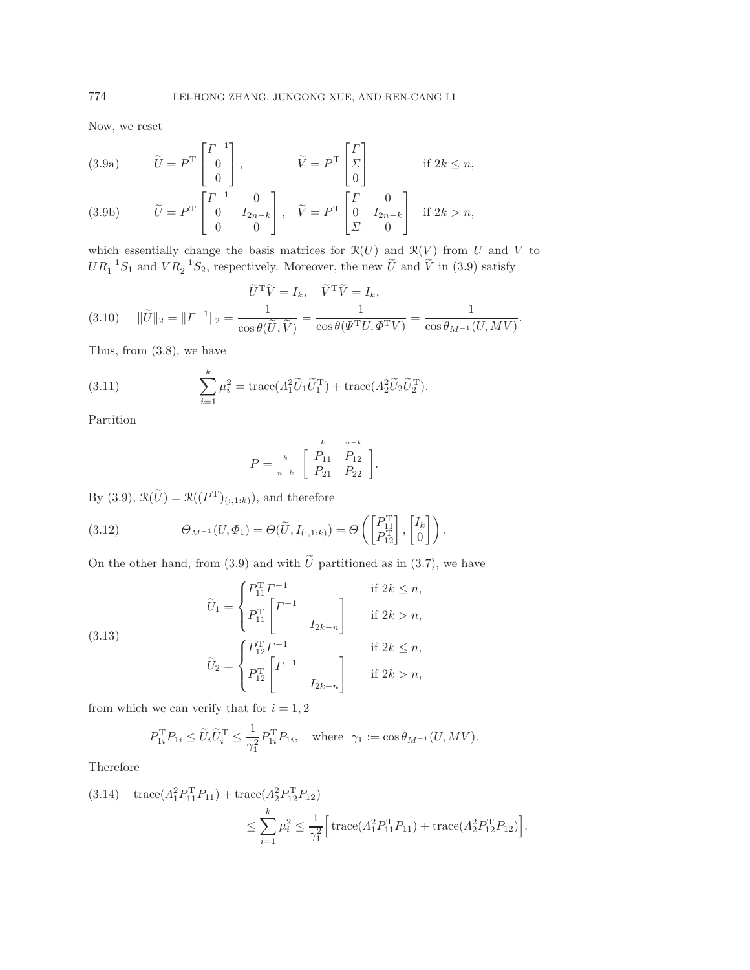<span id="page-9-0"></span>Now, we reset

(3.9a) 
$$
\widetilde{U} = P^{T} \begin{bmatrix} I^{-1} \\ 0 \\ 0 \end{bmatrix}, \qquad \widetilde{V} = P^{T} \begin{bmatrix} I \\ \Sigma \\ 0 \end{bmatrix} \qquad \text{if } 2k \le n,
$$

(3.9b) 
$$
\widetilde{U} = P^{T} \begin{bmatrix} 0 & I_{2n-k} \\ 0 & 0 \end{bmatrix}, \quad \widetilde{V} = P^{T} \begin{bmatrix} 0 & I_{2n-k} \\ \Sigma & 0 \end{bmatrix} \text{ if } 2k > n,
$$

which essentially change the basis matrices for  $\mathcal{R}(U)$  and  $\mathcal{R}(V)$  from U and V to  $UR_1^{-1}S_1$  and  $VR_2^{-1}S_2$ , respectively. Moreover, the new  $\widetilde{U}$  and  $\widetilde{V}$  in [\(3.9\)](#page-9-0) satisfy

$$
\widetilde{U}^{\mathrm{T}}\widetilde{V} = I_k, \quad \widetilde{V}^{\mathrm{T}}\widetilde{V} = I_k, (3.10) \quad \|\widetilde{U}\|_2 = \|V^{-1}\|_2 = \frac{1}{\cos\theta(\widetilde{U}, \widetilde{V})} = \frac{1}{\cos\theta(\Psi^{\mathrm{T}}U, \Phi^{\mathrm{T}}V)} = \frac{1}{\cos\theta_{M^{-1}}(U, MV)}.
$$

Thus, from [\(3.8\)](#page-8-0), we have

(3.11) 
$$
\sum_{i=1}^{k} \mu_i^2 = \text{trace} (A_1^2 \widetilde{U}_1 \widetilde{U}_1^T) + \text{trace} (A_2^2 \widetilde{U}_2 \widetilde{U}_2^T).
$$

Partition

<span id="page-9-1"></span>
$$
P = \begin{bmatrix} k & n-k \\ R_{11} & R_{12} \\ R_{21} & R_{22} \end{bmatrix}.
$$

By [\(3.9\)](#page-9-0),  $\mathfrak{R}(\widetilde{U}) = \mathfrak{R}((P^{\rm T})_{(:,1:k)}),$  and therefore

(3.12) 
$$
\Theta_{M^{-1}}(U,\Phi_1)=\Theta(\widetilde{U},I_{(:,1:k)})=\Theta\left(\begin{bmatrix}P_{11}^{\mathrm{T}}\\P_{12}^{\mathrm{T}}\end{bmatrix},\begin{bmatrix}I_k\\0\end{bmatrix}\right).
$$

On the other hand, from [\(3.9\)](#page-9-0) and with  $\tilde{U}$  partitioned as in [\(3.7\)](#page-8-1), we have

(3.13)  

$$
\widetilde{U}_{1} = \begin{cases} P_{11}^{T} \Gamma^{-1} & \text{if } 2k \leq n, \\ P_{11}^{T} \begin{bmatrix} \Gamma^{-1} & \text{if } 2k > n, \\ I_{2k-n} \end{bmatrix} & \text{if } 2k > n, \\ \widetilde{U}_{2} = \begin{cases} P_{12}^{T} \Gamma^{-1} & \text{if } 2k \leq n, \\ P_{12}^{T} \begin{bmatrix} \Gamma^{-1} & \text{if } 2k > n, \\ I_{2k-n} \end{bmatrix} & \text{if } 2k > n, \end{cases}
$$

from which we can verify that for  $i = 1, 2$ 

$$
P_{1i}^{\mathrm{T}} P_{1i} \le \widetilde{U}_i \widetilde{U}_i^{\mathrm{T}} \le \frac{1}{\gamma_1^2} P_{1i}^{\mathrm{T}} P_{1i}, \quad \text{where} \ \ \gamma_1 := \cos \theta_{M^{-1}}(U, MV).
$$

Therefore

(3.14) 
$$
\text{trace}(A_1^2 P_{11}^{\text{T}} P_{11}) + \text{trace}(A_2^2 P_{12}^{\text{T}} P_{12})
$$

$$
\leq \sum_{i=1}^k \mu_i^2 \leq \frac{1}{\gamma_1^2} \Big[ \text{trace}(A_1^2 P_{11}^{\text{T}} P_{11}) + \text{trace}(A_2^2 P_{12}^{\text{T}} P_{12}) \Big].
$$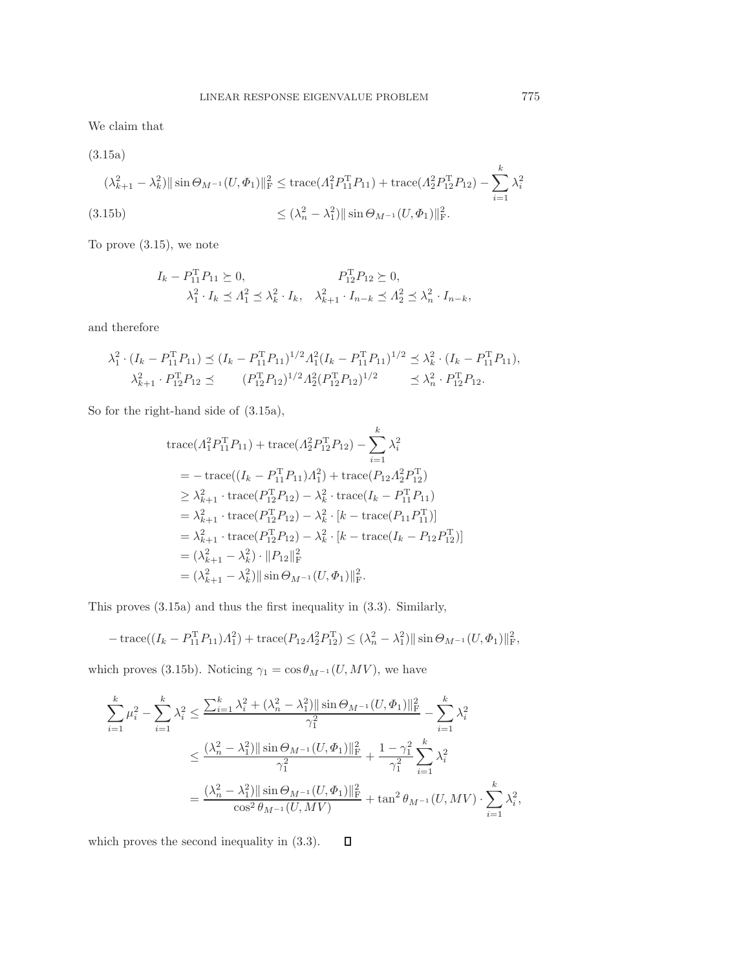<span id="page-10-0"></span>We claim that

<span id="page-10-1"></span>(3.15a)  
\n
$$
(\lambda_{k+1}^2 - \lambda_k^2) || \sin \Theta_{M^{-1}}(U, \Phi_1) ||_F^2 \leq \text{trace}(\Lambda_1^2 P_{11}^T P_{11}) + \text{trace}(\Lambda_2^2 P_{12}^T P_{12}) - \sum_{i=1}^k \lambda_i^2
$$
\n
$$
\leq (\lambda_n^2 - \lambda_1^2) || \sin \Theta_{M^{-1}}(U, \Phi_1) ||_F^2.
$$

<span id="page-10-2"></span>To prove [\(3.15\)](#page-10-0), we note

$$
I_k - P_{11}^{\mathrm{T}} P_{11} \succeq 0, \qquad P_{12}^{\mathrm{T}} P_{12} \succeq 0, \lambda_1^2 \cdot I_k \le \Lambda_1^2 \le \lambda_k^2 \cdot I_k, \quad \lambda_{k+1}^2 \cdot I_{n-k} \le \Lambda_2^2 \le \lambda_n^2 \cdot I_{n-k},
$$

and therefore

$$
\lambda_1^2 \cdot (I_k - P_{11}^{\mathrm{T}} P_{11}) \preceq (I_k - P_{11}^{\mathrm{T}} P_{11})^{1/2} A_1^2 (I_k - P_{11}^{\mathrm{T}} P_{11})^{1/2} \preceq \lambda_k^2 \cdot (I_k - P_{11}^{\mathrm{T}} P_{11}),
$$
  

$$
\lambda_{k+1}^2 \cdot P_{12}^{\mathrm{T}} P_{12} \preceq (P_{12}^{\mathrm{T}} P_{12})^{1/2} A_2^2 (P_{12}^{\mathrm{T}} P_{12})^{1/2} \preceq \lambda_n^2 \cdot P_{12}^{\mathrm{T}} P_{12}.
$$

So for the right-hand side of [\(3.15a\)](#page-10-1),

$$
\begin{split}\n&\text{trace}(\Lambda_{1}^{2}P_{11}^{T}P_{11}) + \text{trace}(\Lambda_{2}^{2}P_{12}^{T}P_{12}) - \sum_{i=1}^{k} \lambda_{i}^{2} \\
&= -\text{trace}((I_{k} - P_{11}^{T}P_{11})\Lambda_{1}^{2}) + \text{trace}(P_{12}\Lambda_{2}^{2}P_{12}^{T}) \\
&\geq \lambda_{k+1}^{2} \cdot \text{trace}(P_{12}^{T}P_{12}) - \lambda_{k}^{2} \cdot \text{trace}(I_{k} - P_{11}^{T}P_{11}) \\
&= \lambda_{k+1}^{2} \cdot \text{trace}(P_{12}^{T}P_{12}) - \lambda_{k}^{2} \cdot [k - \text{trace}(P_{11}P_{11}^{T})] \\
&= \lambda_{k+1}^{2} \cdot \text{trace}(P_{12}^{T}P_{12}) - \lambda_{k}^{2} \cdot [k - \text{trace}(I_{k} - P_{12}P_{12}^{T})] \\
&= (\lambda_{k+1}^{2} - \lambda_{k}^{2}) \cdot ||P_{12}||_{\text{F}}^{2} \\
&= (\lambda_{k+1}^{2} - \lambda_{k}^{2}) ||\sin \Theta_{M^{-1}}(U, \Phi_{1})||_{\text{F}}^{2}.\n\end{split}
$$

This proves [\(3.15a\)](#page-10-1) and thus the first inequality in [\(3.3\)](#page-7-3). Similarly,

$$
-\operatorname{trace}((I_k - P_{11}^{\mathrm{T}} P_{11}) A_1^2) + \operatorname{trace}(P_{12} A_2^2 P_{12}^{\mathrm{T}}) \le (\lambda_n^2 - \lambda_1^2) || \sin \Theta_{M^{-1}}(U, \Phi_1) ||_F^2,
$$

which proves [\(3.15b\)](#page-10-2). Noticing  $\gamma_1 = \cos \theta_{M^{-1}}(U, MV)$ , we have

$$
\begin{split} \sum_{i=1}^{k}\mu_i^2 - \sum_{i=1}^{k}\lambda_i^2 &\leq \frac{\sum_{i=1}^{k}\lambda_i^2 + (\lambda_n^2 - \lambda_1^2)\|\sin\Theta_{M^{-1}}(U,\Phi_1)\|_{\mathrm{F}}^2}{\gamma_1^2} - \sum_{i=1}^{k}\lambda_i^2 \\ &\leq \frac{(\lambda_n^2 - \lambda_1^2)\|\sin\Theta_{M^{-1}}(U,\Phi_1)\|_{\mathrm{F}}^2}{\gamma_1^2} + \frac{1-\gamma_1^2}{\gamma_1^2}\sum_{i=1}^{k}\lambda_i^2 \\ &= \frac{(\lambda_n^2 - \lambda_1^2)\|\sin\Theta_{M^{-1}}(U,\Phi_1)\|_{\mathrm{F}}^2}{\cos^2\theta_{M^{-1}}(U,MV)} + \tan^2\theta_{M^{-1}}(U,MV) \cdot \sum_{i=1}^{k}\lambda_i^2, \end{split}
$$

which proves the second inequality in [\(3.3\)](#page-7-3). $\Box$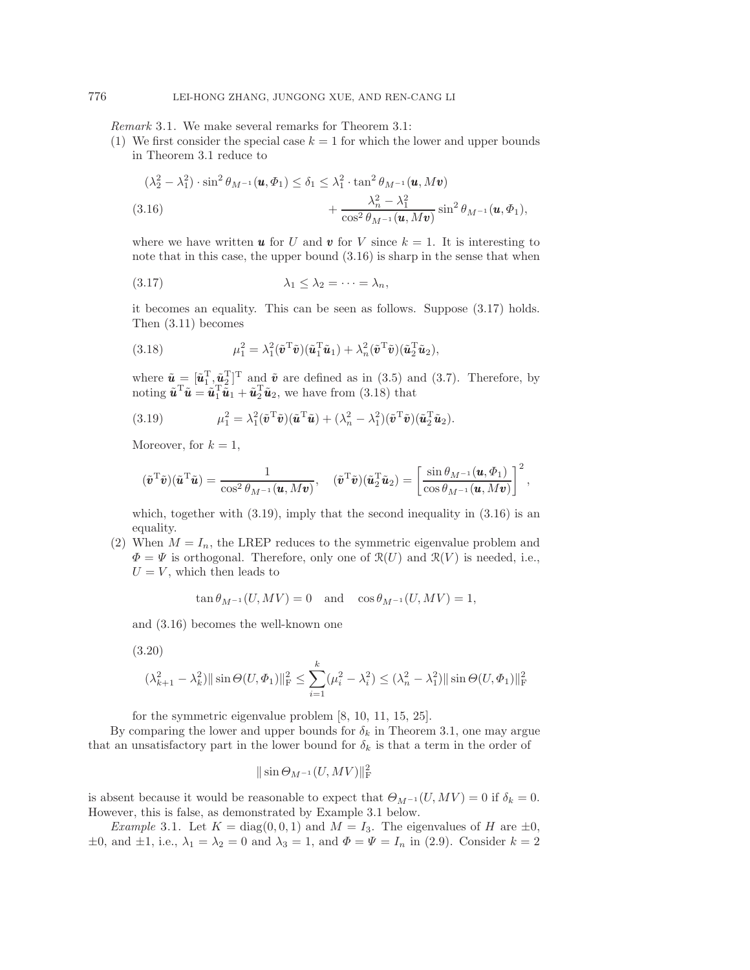*Remark* 3.1. We make several remarks for Theorem [3.1:](#page-7-4)

(1) We first consider the special case  $k = 1$  for which the lower and upper bounds in Theorem [3.1](#page-7-4) reduce to

<span id="page-11-0"></span>
$$
(\lambda_2^2 - \lambda_1^2) \cdot \sin^2 \theta_{M^{-1}}(\mathbf{u}, \Phi_1) \le \delta_1 \le \lambda_1^2 \cdot \tan^2 \theta_{M^{-1}}(\mathbf{u}, M\mathbf{v}) + \frac{\lambda_n^2 - \lambda_1^2}{\cos^2 \theta_{M^{-1}}(\mathbf{u}, M\mathbf{v})} \sin^2 \theta_{M^{-1}}(\mathbf{u}, \Phi_1),
$$
\n(3.16)

<span id="page-11-1"></span>where we have written **u** for U and **v** for V since  $k = 1$ . It is interesting to note that in this case, the upper bound [\(3.16\)](#page-11-0) is sharp in the sense that when

$$
(3.17) \qquad \qquad \lambda_1 \leq \lambda_2 = \cdots = \lambda_n,
$$

it becomes an equality. This can be seen as follows. Suppose [\(3.17\)](#page-11-1) holds. Then [\(3.11\)](#page-9-1) becomes

<span id="page-11-2"></span>(3.18) 
$$
\mu_1^2 = \lambda_1^2 (\tilde{\boldsymbol{v}}^T \tilde{\boldsymbol{v}}) (\tilde{\boldsymbol{u}}_1^T \tilde{\boldsymbol{u}}_1) + \lambda_n^2 (\tilde{\boldsymbol{v}}^T \tilde{\boldsymbol{v}}) (\tilde{\boldsymbol{u}}_2^T \tilde{\boldsymbol{u}}_2),
$$

where  $\tilde{\boldsymbol{u}} = [\tilde{\boldsymbol{u}}_1^{\mathrm{T}}, \tilde{\boldsymbol{u}}_2^{\mathrm{T}}]^{\mathrm{T}}$  and  $\tilde{\boldsymbol{v}}$  are defined as in [\(3.5\)](#page-8-2) and [\(3.7\)](#page-8-1). Therefore, by noting  $\tilde{u}^T \tilde{u} = \tilde{u}_1^T \tilde{u}_1 + \tilde{u}_2^T \tilde{u}_2$ , we have from [\(3.18\)](#page-11-2) that

<span id="page-11-3"></span>(3.19) 
$$
\mu_1^2 = \lambda_1^2 (\tilde{\boldsymbol{v}}^T \tilde{\boldsymbol{v}}) (\tilde{\boldsymbol{u}}^T \tilde{\boldsymbol{u}}) + (\lambda_n^2 - \lambda_1^2) (\tilde{\boldsymbol{v}}^T \tilde{\boldsymbol{v}}) (\tilde{\boldsymbol{u}}_2^T \tilde{\boldsymbol{u}}_2).
$$

Moreover, for  $k = 1$ ,

$$
(\tilde{\boldsymbol{v}}^{\mathrm{T}}\tilde{\boldsymbol{v}})(\tilde{\boldsymbol{u}}^{\mathrm{T}}\tilde{\boldsymbol{u}})=\frac{1}{\cos^2\theta_{M^{-1}}(\boldsymbol{u},M\boldsymbol{v})},\quad (\tilde{\boldsymbol{v}}^{\mathrm{T}}\tilde{\boldsymbol{v}})(\tilde{\boldsymbol{u}}_2^{\mathrm{T}}\tilde{\boldsymbol{u}}_2)=\left[\frac{\sin\theta_{M^{-1}}(\boldsymbol{u},\Phi_1)}{\cos\theta_{M^{-1}}(\boldsymbol{u},M\boldsymbol{v})}\right]^2,
$$

which, together with  $(3.19)$ , imply that the second inequality in  $(3.16)$  is an equality.

(2) When  $M = I_n$ , the LREP reduces to the symmetric eigenvalue problem and  $\Phi = \Psi$  is orthogonal. Therefore, only one of  $\mathcal{R}(U)$  and  $\mathcal{R}(V)$  is needed, i.e.,  $U = V$ , which then leads to

$$
\tan \theta_{M^{-1}}(U, MV) = 0 \quad \text{and} \quad \cos \theta_{M^{-1}}(U, MV) = 1,
$$

and [\(3.16\)](#page-11-0) becomes the well-known one

$$
(3.20)
$$

$$
(\lambda_{k+1}^2 - \lambda_k^2) || \sin \Theta(U, \Phi_1) ||_F^2 \le \sum_{i=1}^k (\mu_i^2 - \lambda_i^2) \le (\lambda_n^2 - \lambda_1^2) || \sin \Theta(U, \Phi_1) ||_F^2
$$

for the symmetric eigenvalue problem [\[8,](#page-17-10) [10,](#page-17-11) [11,](#page-17-12) [15,](#page-17-13) [25\]](#page-17-14).

By comparing the lower and upper bounds for  $\delta_k$  in Theorem [3.1,](#page-7-4) one may argue that an unsatisfactory part in the lower bound for  $\delta_k$  is that a term in the order of

$$
\|\sin\Theta_{M^{-1}}(U,MV)\|_{\mathrm{F}}^2
$$

is absent because it would be reasonable to expect that  $\Theta_{M^{-1}}(U, MV) = 0$  if  $\delta_k = 0$ . However, this is false, as demonstrated by Example [3.1](#page-11-4) below.

<span id="page-11-4"></span>*Example* 3.1. Let  $K = diag(0, 0, 1)$  and  $M = I_3$ . The eigenvalues of H are  $\pm 0$ ,  $\pm 0$ , and  $\pm 1$ , i.e.,  $\lambda_1 = \lambda_2 = 0$  and  $\lambda_3 = 1$ , and  $\Phi = \Psi = I_n$  in [\(2.9\)](#page-4-4). Consider  $k = 2$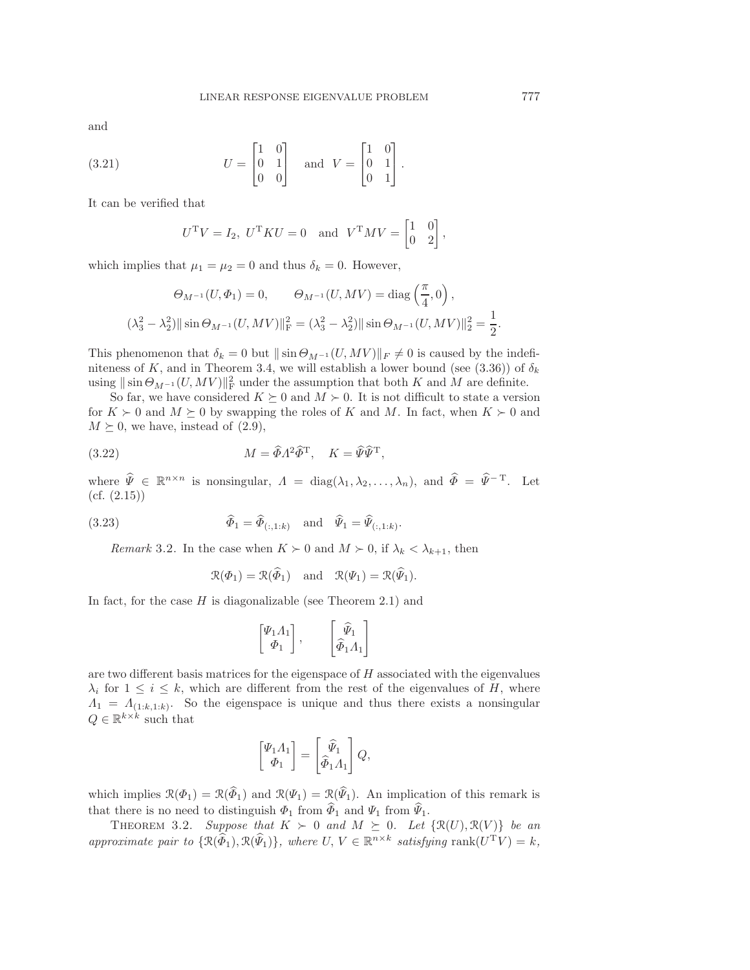and

(3.21) 
$$
U = \begin{bmatrix} 1 & 0 \\ 0 & 1 \\ 0 & 0 \end{bmatrix} \text{ and } V = \begin{bmatrix} 1 & 0 \\ 0 & 1 \\ 0 & 1 \end{bmatrix}.
$$

It can be verified that

$$
UTV = I2, UTKU = 0 \text{ and } VTMV = \begin{bmatrix} 1 & 0 \\ 0 & 2 \end{bmatrix},
$$

which implies that  $\mu_1 = \mu_2 = 0$  and thus  $\delta_k = 0$ . However,

$$
\Theta_{M^{-1}}(U, \Phi_1) = 0, \qquad \Theta_{M^{-1}}(U, MV) = \text{diag}\left(\frac{\pi}{4}, 0\right),
$$

$$
(\lambda_3^2 - \lambda_2^2) || \sin \Theta_{M^{-1}}(U, MV) ||^2_F = (\lambda_3^2 - \lambda_2^2) || \sin \Theta_{M^{-1}}(U, MV) ||^2_F = \frac{1}{2}.
$$

This phenomenon that  $\delta_k = 0$  but  $\|\sin \Theta_{M^{-1}}(U, MV)\|_F \neq 0$  is caused by the indefi-niteness of K, and in Theorem [3.4,](#page-15-1) we will establish a lower bound (see [\(3.36\)](#page-15-2)) of  $\delta_k$ using  $\|\sin \Theta_{M^{-1}}(U, MV)\|_{\text{F}}^2$  under the assumption that both K and M are definite.

So far, we have considered  $K \succeq 0$  and  $M \succ 0$ . It is not difficult to state a version for  $K \succ 0$  and  $M \succ 0$  by swapping the roles of K and M. In fact, when  $K \succ 0$  and  $M \succeq 0$ , we have, instead of  $(2.9)$ ,

(3.22) 
$$
M = \widehat{\Phi} \Lambda^2 \widehat{\Phi}^{\mathrm{T}}, \quad K = \widehat{\Psi} \widehat{\Psi}^{\mathrm{T}},
$$

where  $\widehat{\Psi} \in \mathbb{R}^{n \times n}$  is nonsingular,  $\Lambda = \text{diag}(\lambda_1, \lambda_2, \dots, \lambda_n)$ , and  $\widehat{\Phi} = \widehat{\Psi}^{-T}$ . Let  $(cf. (2.15))$  $(cf. (2.15))$  $(cf. (2.15))$ 

(3.23) 
$$
\widehat{\Phi}_1 = \widehat{\Phi}_{(:,1:k)} \quad \text{and} \quad \widehat{\Psi}_1 = \widehat{\Psi}_{(:,1:k)}.
$$

*Remark* 3.2. In the case when  $K \succ 0$  and  $M \succ 0$ , if  $\lambda_k < \lambda_{k+1}$ , then

$$
\mathcal{R}(\Phi_1) = \mathcal{R}(\widehat{\Phi}_1)
$$
 and  $\mathcal{R}(\Psi_1) = \mathcal{R}(\widehat{\Psi}_1)$ .

In fact, for the case  $H$  is diagonalizable (see Theorem [2.1\)](#page-4-2) and

$$
\begin{bmatrix} \varPsi_1 \varLambda_1 \\ \varPhi_1 \end{bmatrix}, \qquad \begin{bmatrix} \widehat{\varPsi}_1 \\ \widehat{\varPhi}_1 \varLambda_1 \end{bmatrix}
$$

are two different basis matrices for the eigenspace of  $H$  associated with the eigenvalues  $\lambda_i$  for  $1 \leq i \leq k$ , which are different from the rest of the eigenvalues of H, where  $\Lambda_1 = \Lambda_{(1:k,1:k)}$ . So the eigenspace is unique and thus there exists a nonsingular  $Q \in \mathbb{R}^{k \times k}$  such that

$$
\begin{bmatrix} \Psi_1 \Lambda_1 \\ \Phi_1 \end{bmatrix} = \begin{bmatrix} \widehat{\Psi}_1 \\ \widehat{\Phi}_1 \Lambda_1 \end{bmatrix} Q,
$$

which implies  $\mathcal{R}(\Phi_1) = \mathcal{R}(\widehat{\Phi}_1)$  and  $\mathcal{R}(\Psi_1) = \mathcal{R}(\widehat{\Psi}_1)$ . An implication of this remark is that there is no need to distinguish  $\Phi_1$  from  $\widehat{\Phi}_1$  and  $\Psi_1$  from  $\widehat{\Psi}_1$ .

<span id="page-12-0"></span>THEOREM 3.2. Suppose that  $K > 0$  and  $M \succeq 0$ . Let  $\{ \mathcal{R}(U), \mathcal{R}(V) \}$  be an *approximate pair to*  $\{\mathcal{R}(\widehat{\Phi}_1), \mathcal{R}(\widehat{\Psi}_1)\}$ *, where*  $U, V \in \mathbb{R}^{n \times k}$  *satisfying* rank $(U^T V) = k$ *,*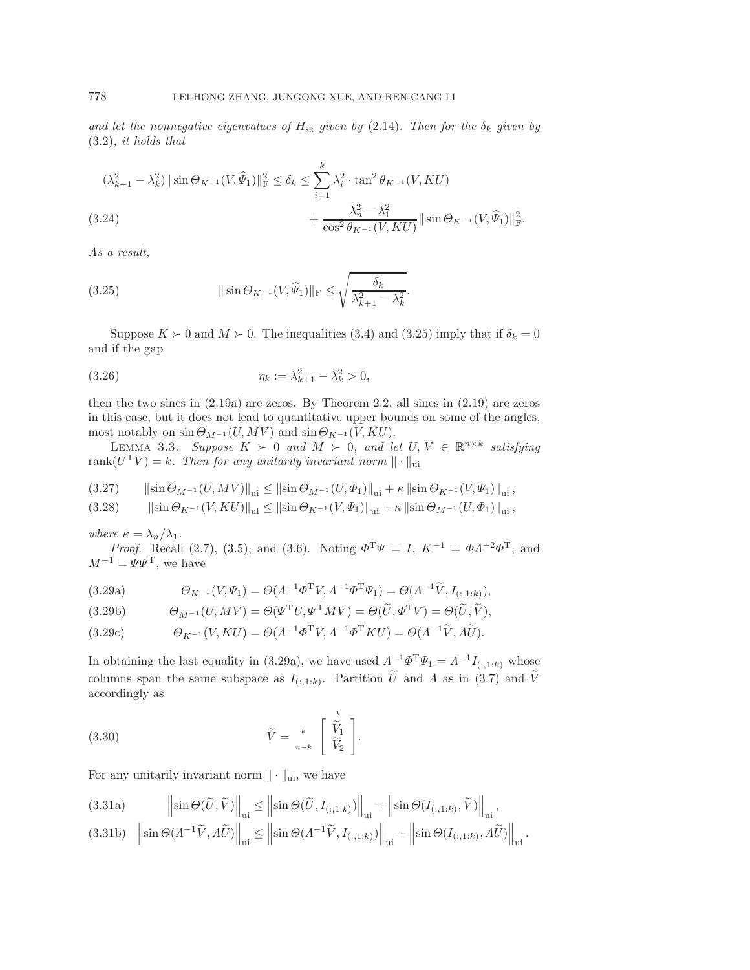*and let the nonnegative eigenvalues of*  $H_{SR}$  *given by* [\(2.14\)](#page-5-1)*. Then for the*  $\delta_k$  *given by* [\(3.2\)](#page-7-2)*, it holds that*

$$
(\lambda_{k+1}^2 - \lambda_k^2) || \sin \Theta_{K^{-1}}(V, \widehat{\Psi}_1) ||_F^2 \le \delta_k \le \sum_{i=1}^k \lambda_i^2 \cdot \tan^2 \theta_{K^{-1}}(V, KU)
$$
  
(3.24)  

$$
+ \frac{\lambda_n^2 - \lambda_1^2}{\cos^2 \theta_{K^{-1}}(V, KU)} || \sin \Theta_{K^{-1}}(V, \widehat{\Psi}_1) ||_F^2.
$$

<span id="page-13-8"></span><span id="page-13-0"></span>*As a result,*

(3.25) 
$$
\|\sin \Theta_{K^{-1}}(V, \widehat{\Psi}_1)\|_{\mathrm{F}} \leq \sqrt{\frac{\delta_k}{\lambda_{k+1}^2 - \lambda_k^2}}.
$$

Suppose  $K \succ 0$  and  $M \succ 0$ . The inequalities [\(3.4\)](#page-7-5) and [\(3.25\)](#page-13-0) imply that if  $\delta_k = 0$ and if the gap

(3.26) 
$$
\eta_k := \lambda_{k+1}^2 - \lambda_k^2 > 0,
$$

then the two sines in  $(2.19a)$  are zeros. By Theorem [2.2,](#page-6-6) all sines in  $(2.19)$  are zeros in this case, but it does not lead to quantitative upper bounds on some of the angles, most notably on  $\sin \Theta_{M^{-1}}(U, MV)$  and  $\sin \Theta_{K^{-1}}(V,KU)$ .

LEMMA 3.3. Suppose  $K > 0$  and  $M > 0$ , and let  $U, V \in \mathbb{R}^{n \times k}$  satisfying rank $(U^{T}V) = k$ . Then for any unitarily invariant norm  $\|\cdot\|_{\text{ui}}$ 

<span id="page-13-4"></span>
$$
(3.27) \qquad \left\|\sin \Theta_{M^{-1}}(U,MV)\right\|_{\text{ui}} \leq \left\|\sin \Theta_{M^{-1}}(U,\Phi_1)\right\|_{\text{ui}} + \kappa \left\|\sin \Theta_{K^{-1}}(V,\Psi_1)\right\|_{\text{ui}},
$$

<span id="page-13-7"></span>
$$
(3.28) \t\t ||\sin \Theta_{K^{-1}}(V, KU)||_{\text{ui}} \le ||\sin \Theta_{K^{-1}}(V, \Psi_1)||_{\text{ui}} + \kappa ||\sin \Theta_{M^{-1}}(U, \Phi_1)||_{\text{ui}},
$$

*where*  $\kappa = \lambda_n / \lambda_1$ .

*Proof.* Recall [\(2.7\)](#page-4-1), [\(3.5\)](#page-8-2), and [\(3.6\)](#page-8-3). Noting  $\Phi^T \Psi = I$ ,  $K^{-1} = \Phi A^{-2} \Phi^T$ , and  $M^{-1} = \Psi \Psi$ <sup>T</sup>, we have

<span id="page-13-1"></span>(3.29a) 
$$
\Theta_{K^{-1}}(V, \Psi_1) = \Theta(\Lambda^{-1} \Phi^{\mathrm{T}} V, \Lambda^{-1} \Phi^{\mathrm{T}} \Psi_1) = \Theta(\Lambda^{-1} \widetilde{V}, I_{(:,1:k)}),
$$

<span id="page-13-2"></span>(3.29b) 
$$
\Theta_{M^{-1}}(U, MV) = \Theta(\Psi^{\mathrm{T}}U, \Psi^{\mathrm{T}}MV) = \Theta(\widetilde{U}, \Phi^{\mathrm{T}}V) = \Theta(\widetilde{U}, \widetilde{V}),
$$

<span id="page-13-5"></span>(3.29c) 
$$
\Theta_{K^{-1}}(V,KU) = \Theta(\Lambda^{-1}\Phi^{\mathrm{T}}V,\Lambda^{-1}\Phi^{\mathrm{T}}KU) = \Theta(\Lambda^{-1}\widetilde{V},\Lambda\widetilde{U}).
$$

In obtaining the last equality in [\(3.29a\)](#page-13-1), we have used  $\Lambda^{-1} \Phi^{T} \Psi_1 = \Lambda^{-1} I_{(:,1:k)}$  whose columns span the same subspace as  $I_{(:,1:k)}$ . Partition  $\tilde{U}$  and  $\tilde{\Lambda}$  as in [\(3.7\)](#page-8-1) and  $\tilde{V}$ accordingly as

(3.30) 
$$
\widetilde{V} = \kappa \begin{bmatrix} \widetilde{V}_1 \\ \widetilde{V}_2 \end{bmatrix}.
$$

For any unitarily invariant norm  $\|\cdot\|_{\text{ui}}$ , we have

<span id="page-13-3"></span>(3.31a) 
$$
\left\| \sin \Theta(\widetilde{U}, \widetilde{V}) \right\|_{\text{ui}} \le \left\| \sin \Theta(\widetilde{U}, I_{(:,1:k)}) \right\|_{\text{ui}} + \left\| \sin \Theta(I_{(:,1:k)}, \widetilde{V}) \right\|_{\text{ui}},
$$
  
(3.31b) 
$$
\left\| \sin \Theta(A^{-1} \widetilde{V}, A \widetilde{U}) \right\|_{\text{vi}} > \left\| \sin \Theta(A^{-1} \widetilde{V}, I_{(:,1:k)}) \right\|_{\text{ui}} + \left\| \sin \Theta(I_{(:,1:k)}, \widetilde{V}) \right\|_{\text{ui}},
$$

<span id="page-13-6"></span>
$$
(3.31b) \quad \left\|\sin\Theta(\Lambda^{-1}\widetilde{V},\Lambda\widetilde{U})\right\|_{\text{ui}} \le \left\|\sin\Theta(\Lambda^{-1}\widetilde{V},I_{(:,1:k)})\right\|_{\text{ui}} + \left\|\sin\Theta(I_{(:,1:k)},\Lambda\widetilde{U})\right\|_{\text{ui}}.
$$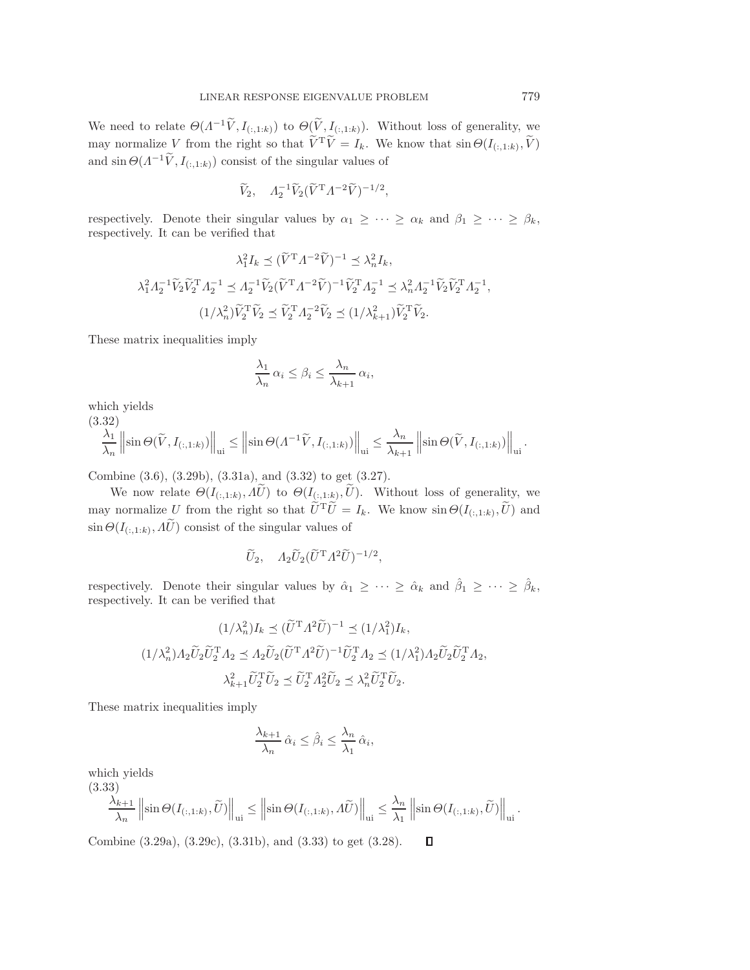We need to relate  $\Theta(\Lambda^{-1}\widetilde{V},I_{(:,1:k)})$  to  $\Theta(\widetilde{V},I_{(:,1:k)})$ . Without loss of generality, we may normalize V from the right so that  $V^T \widetilde{V} = I_k$ . We know that  $\sin \Theta(I_{(:,1:k)}, \widetilde{V})$ and  $\sin \Theta(\Lambda^{-1} \widetilde{V}, I_{\{t+1:k\}})$  consist of the singular values of

$$
\widetilde{V}_2, \quad A_2^{-1} \widetilde{V}_2 (\widetilde{V}^{\mathrm{T}} A^{-2} \widetilde{V})^{-1/2},
$$

respectively. Denote their singular values by  $\alpha_1 \geq \cdots \geq \alpha_k$  and  $\beta_1 \geq \cdots \geq \beta_k$ , respectively. It can be verified that

$$
\lambda_1^2 I_k \preceq (\tilde{V}^{\mathsf{T}} A^{-2} \tilde{V})^{-1} \preceq \lambda_n^2 I_k,
$$
  

$$
\lambda_1^2 A_2^{-1} \tilde{V}_2 \tilde{V}_2^{\mathsf{T}} A_2^{-1} \preceq A_2^{-1} \tilde{V}_2 (\tilde{V}^{\mathsf{T}} A^{-2} \tilde{V})^{-1} \tilde{V}_2^{\mathsf{T}} A_2^{-1} \preceq \lambda_n^2 A_2^{-1} \tilde{V}_2 \tilde{V}_2^{\mathsf{T}} A_2^{-1},
$$
  

$$
(1/\lambda_n^2) \tilde{V}_2^{\mathsf{T}} \tilde{V}_2 \preceq \tilde{V}_2^{\mathsf{T}} A_2^{-2} \tilde{V}_2 \preceq (1/\lambda_{k+1}^2) \tilde{V}_2^{\mathsf{T}} \tilde{V}_2.
$$

These matrix inequalities imply

$$
\frac{\lambda_1}{\lambda_n} \alpha_i \le \beta_i \le \frac{\lambda_n}{\lambda_{k+1}} \alpha_i,
$$

<span id="page-14-0"></span>which yields

$$
\frac{\lambda_1}{\lambda_n} \left\| \sin \Theta(\widetilde{V}, I_{(:,1:k)}) \right\|_{\text{ui}} \le \left\| \sin \Theta(\Lambda^{-1} \widetilde{V}, I_{(:,1:k)}) \right\|_{\text{ui}} \le \frac{\lambda_n}{\lambda_{k+1}} \left\| \sin \Theta(\widetilde{V}, I_{(:,1:k)}) \right\|_{\text{ui}}.
$$

Combine [\(3.6\)](#page-8-3), [\(3.29b\)](#page-13-2), [\(3.31a\)](#page-13-3), and [\(3.32\)](#page-14-0) to get [\(3.27\)](#page-13-4).

We now relate  $\Theta(I_{(:,1:k)},\Lambda\tilde{U})$  to  $\Theta(I_{(:,1:k)},\tilde{U})$ . Without loss of generality, we may normalize U from the right so that  $\tilde{U}^T \tilde{U} = I_k$ . We know  $\sin \Theta(I_{(:,1:k)}, \tilde{U})$  and  $\sin \Theta(I_{(:,1:k)}, \tilde{A}_{\nu} \tilde{U})$  consist of the singular values of

$$
\widetilde{U}_2
$$
,  $\Lambda_2 \widetilde{U}_2 (\widetilde{U}^{\mathrm{T}} \Lambda^2 \widetilde{U})^{-1/2}$ ,

respectively. Denote their singular values by  $\hat{\alpha}_1 \geq \cdots \geq \hat{\alpha}_k$  and  $\hat{\beta}_1 \geq \cdots \geq \hat{\beta}_k$ , respectively. It can be verified that

$$
(1/\lambda_n^2)I_k \preceq (\widetilde{U}^{\mathrm{T}} \Lambda^2 \widetilde{U})^{-1} \preceq (1/\lambda_1^2)I_k,
$$
  

$$
(1/\lambda_n^2)A_2 \widetilde{U}_2 \widetilde{U}_2^{\mathrm{T}} A_2 \preceq A_2 \widetilde{U}_2 (\widetilde{U}^{\mathrm{T}} \Lambda^2 \widetilde{U})^{-1} \widetilde{U}_2^{\mathrm{T}} A_2 \preceq (1/\lambda_1^2)A_2 \widetilde{U}_2 \widetilde{U}_2^{\mathrm{T}} A_2,
$$
  

$$
\lambda_{k+1}^2 \widetilde{U}_2^{\mathrm{T}} \widetilde{U}_2 \preceq \widetilde{U}_2^{\mathrm{T}} A_2^2 \widetilde{U}_2 \preceq \lambda_n^2 \widetilde{U}_2^{\mathrm{T}} \widetilde{U}_2.
$$

These matrix inequalities imply

$$
\frac{\lambda_{k+1}}{\lambda_n} \hat{\alpha}_i \le \hat{\beta}_i \le \frac{\lambda_n}{\lambda_1} \hat{\alpha}_i,
$$

which yields

(3.33)

<span id="page-14-1"></span>
$$
\frac{\lambda_{k+1}}{\lambda_n} \left\| \sin \Theta(I_{(:,1:k)}, \widetilde{U}) \right\|_{\text{ui}} \le \left\| \sin \Theta(I_{(:,1:k)}, \Lambda \widetilde{U}) \right\|_{\text{ui}} \le \frac{\lambda_n}{\lambda_1} \left\| \sin \Theta(I_{(:,1:k)}, \widetilde{U}) \right\|_{\text{ui}}.
$$

Combine [\(3.29a\)](#page-13-1), [\(3.29c\)](#page-13-5), [\(3.31b\)](#page-13-6), and [\(3.33\)](#page-14-1) to get [\(3.28\)](#page-13-7). $\Box$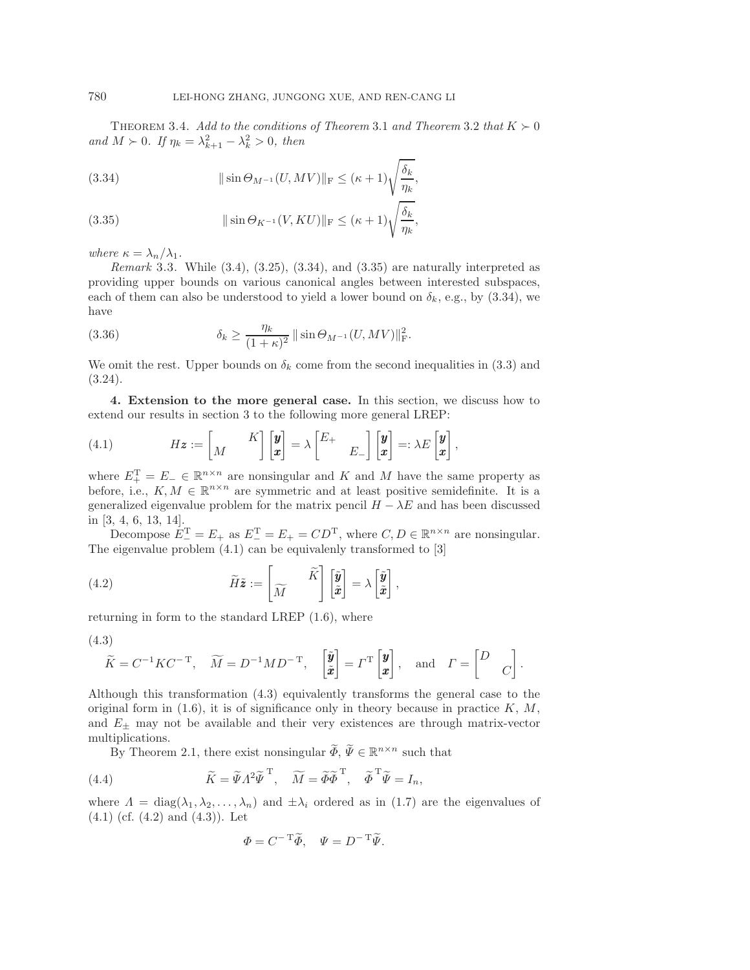THEOREM 3.4. Add to the conditions of Theorem [3.1](#page-7-4) and Theorem [3.2](#page-12-0) that  $K \succ 0$  $and M > 0$ *. If*  $\eta_k = \lambda_{k+1}^2 - \lambda_k^2 > 0$ *, then* 

<span id="page-15-3"></span>(3.34) 
$$
\|\sin \Theta_{M^{-1}}(U, MV)\|_{\mathcal{F}} \leq (\kappa+1)\sqrt{\frac{\delta_k}{\eta_k}},
$$

<span id="page-15-4"></span>(3.35) 
$$
\|\sin \Theta_{K^{-1}}(V, KU)\|_{\mathcal{F}} \leq (\kappa + 1) \sqrt{\frac{\delta_k}{\eta_k}},
$$

*where*  $\kappa = \lambda_n / \lambda_1$ *.* 

*Remark* 3.3. While [\(3.4\)](#page-7-5), [\(3.25\)](#page-13-0), [\(3.34\)](#page-15-3), and [\(3.35\)](#page-15-4) are naturally interpreted as providing upper bounds on various canonical angles between interested subspaces, each of them can also be understood to yield a lower bound on  $\delta_k$ , e.g., by [\(3.34\)](#page-15-3), we have

<span id="page-15-2"></span>(3.36) 
$$
\delta_k \ge \frac{\eta_k}{(1+\kappa)^2} \|\sin \Theta_{M^{-1}}(U, MV)\|_{\mathcal{F}}^2.
$$

We omit the rest. Upper bounds on  $\delta_k$  come from the second inequalities in [\(3.3\)](#page-7-3) and [\(3.24\)](#page-13-8).

<span id="page-15-0"></span>**4. Extension to the more general case.** In this section, we discuss how to extend our results in section [3](#page-7-0) to the following more general LREP:

<span id="page-15-5"></span>(4.1) 
$$
H\mathbf{z} := \begin{bmatrix} M & K \end{bmatrix} \begin{bmatrix} \mathbf{y} \\ \mathbf{x} \end{bmatrix} = \lambda \begin{bmatrix} E_+ \\ E_- \end{bmatrix} \begin{bmatrix} \mathbf{y} \\ \mathbf{x} \end{bmatrix} =: \lambda E \begin{bmatrix} \mathbf{y} \\ \mathbf{x} \end{bmatrix},
$$

where  $E_{+}^{T} = E_{-} \in \mathbb{R}^{n \times n}$  are nonsingular and K and M have the same property as before, i.e.,  $K, M \in \mathbb{R}^{n \times n}$  are symmetric and at least positive semidefinite. It is a generalized eigenvalue problem for the matrix pencil  $H - \lambda E$  and has been discussed in [\[3,](#page-17-20) [4,](#page-17-21) [6,](#page-17-22) [13,](#page-17-23) [14\]](#page-17-24).

Decompose  $E_{-}^{T} = E_{+}$  as  $E_{-}^{T} = E_{+} = CD^{T}$ , where  $C, D \in \mathbb{R}^{n \times n}$  are nonsingular. The eigenvalue problem [\(4.1\)](#page-15-5) can be equivalenly transformed to [\[3\]](#page-17-20)

(4.2) 
$$
\widetilde{H}\widetilde{\mathbf{z}} := \begin{bmatrix} \widetilde{K} \\ \widetilde{M} \end{bmatrix} \begin{bmatrix} \widetilde{\mathbf{y}} \\ \widetilde{\mathbf{z}} \end{bmatrix} = \lambda \begin{bmatrix} \widetilde{\mathbf{y}} \\ \widetilde{\mathbf{z}} \end{bmatrix},
$$

returning in form to the standard LREP [\(1.6\)](#page-1-1), where

<span id="page-15-6"></span>
$$
(4.3)
$$

$$
\widetilde{K} = C^{-1} K C^{-T}, \quad \widetilde{M} = D^{-1} M D^{-T}, \quad \begin{bmatrix} \widetilde{y} \\ \widetilde{x} \end{bmatrix} = \Gamma^{T} \begin{bmatrix} y \\ x \end{bmatrix}, \text{ and } \Gamma = \begin{bmatrix} D \\ C \end{bmatrix}.
$$

Although this transformation [\(4.3\)](#page-15-6) equivalently transforms the general case to the original form in  $(1.6)$ , it is of significance only in theory because in practice K, M, and  $E_{\pm}$  may not be available and their very existences are through matrix-vector multiplications.

By Theorem [2.1,](#page-4-2) there exist nonsingular  $\widetilde{\Phi}$ ,  $\widetilde{\Psi} \in \mathbb{R}^{n \times n}$  such that

(4.4) 
$$
\widetilde{K} = \widetilde{\Psi} \Lambda^2 \widetilde{\Psi}^{\mathrm{T}}, \quad \widetilde{M} = \widetilde{\Phi} \widetilde{\Phi}^{\mathrm{T}}, \quad \widetilde{\Phi}^{\mathrm{T}} \widetilde{\Psi} = I_n,
$$

where  $\Lambda = \text{diag}(\lambda_1, \lambda_2, \ldots, \lambda_n)$  and  $\pm \lambda_i$  ordered as in [\(1.7\)](#page-1-4) are the eigenvalues of  $(4.1)$  (cf.  $(4.2)$  and  $(4.3)$ ). Let

<span id="page-15-8"></span><span id="page-15-7"></span>
$$
\Phi = C^{-\mathrm{T}} \widetilde{\Phi}, \quad \Psi = D^{-\mathrm{T}} \widetilde{\Psi}.
$$

<span id="page-15-1"></span>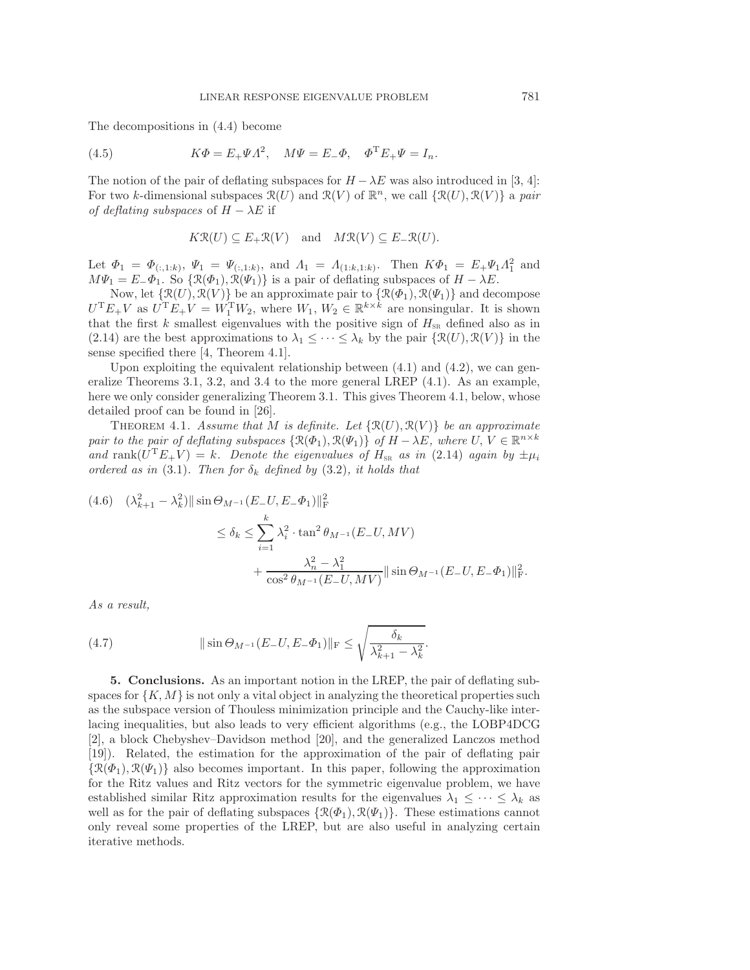The decompositions in [\(4.4\)](#page-15-8) become

(4.5) 
$$
K\Phi = E_{+}\Psi A^{2}, \quad M\Psi = E_{-}\Phi, \quad \Phi^{T}E_{+}\Psi = I_{n}.
$$

The notion of the pair of deflating subspaces for  $H - \lambda E$  was also introduced in [\[3,](#page-17-20) [4\]](#page-17-21): For two k-dimensional subspaces  $\mathcal{R}(U)$  and  $\mathcal{R}(V)$  of  $\mathbb{R}^n$ , we call  $\{\mathcal{R}(U), \mathcal{R}(V)\}\$ a *pair of deflating subspaces* of  $H - \lambda E$  if

$$
K\mathcal{R}(U) \subseteq E_+\mathcal{R}(V)
$$
 and  $M\mathcal{R}(V) \subseteq E_-\mathcal{R}(U)$ .

Let  $\Phi_1 = \Phi_{(:,1:k)}, \Psi_1 = \Psi_{(:,1:k)}, \text{ and } \Lambda_1 = \Lambda_{(1:k,1:k)}.$  Then  $K\Phi_1 = E_+\Psi_1\Lambda_1^2$  and  $M\Psi_1 = E_-\Phi_1$ . So  $\{\mathcal{R}(\Phi_1), \mathcal{R}(\Psi_1)\}\$ is a pair of deflating subspaces of  $H - \lambda E$ .

Now, let  $\{\mathcal{R}(U), \mathcal{R}(V)\}\$  be an approximate pair to  $\{\mathcal{R}(\Phi_1), \mathcal{R}(\Psi_1)\}\$  and decompose  $U^{T}E_{+}V$  as  $U^{T}E_{+}V = W_{1}^{T}W_{2}$ , where  $W_{1}, W_{2} \in \mathbb{R}^{k \times k}$  are nonsingular. It is shown that the first k smallest eigenvalues with the positive sign of  $H_{\text{SR}}$  defined also as in [\(2.14\)](#page-5-1) are the best approximations to  $\lambda_1 \leq \cdots \leq \lambda_k$  by the pair  $\{\mathcal{R}(U), \mathcal{R}(V)\}\$ in the sense specified there [\[4,](#page-17-21) Theorem 4.1].

Upon exploiting the equivalent relationship between  $(4.1)$  and  $(4.2)$ , we can generalize Theorems [3.1,](#page-7-4) [3.2,](#page-12-0) and [3.4](#page-15-1) to the more general LREP [\(4.1\)](#page-15-5). As an example, here we only consider generalizing Theorem [3.1.](#page-7-4) This gives Theorem [4.1,](#page-16-1) below, whose detailed proof can be found in [\[26\]](#page-17-25).

<span id="page-16-1"></span>THEOREM 4.1. *Assume that* M *is definite. Let*  $\{\mathcal{R}(U), \mathcal{R}(V)\}\$  *be an approximate pair to the pair of deflating subspaces*  $\{\mathcal{R}(\Phi_1), \mathcal{R}(\Psi_1)\}\$  *of*  $H - \lambda E$ *, where*  $U, V \in \mathbb{R}^{n \times k}$ and rank $(U^T E_+ V) = k$ . Denote the eigenvalues of  $H_{\text{SR}}$  as in [\(2.14\)](#page-5-1) again by  $\pm \mu_i$ *ordered as in* [\(3.1\)](#page-7-1). Then for  $\delta_k$  defined by [\(3.2\)](#page-7-2), it holds that

$$
(4.6) \quad (\lambda_{k+1}^2 - \lambda_k^2) \|\sin \Theta_{M^{-1}}(E_- U, E_- \Phi_1)\|_{\mathrm{F}}^2
$$
  

$$
\le \delta_k \le \sum_{i=1}^k \lambda_i^2 \cdot \tan^2 \theta_{M^{-1}}(E_- U, MV)
$$
  

$$
+ \frac{\lambda_n^2 - \lambda_1^2}{\cos^2 \theta_{M^{-1}}(E_- U, MV)} \|\sin \Theta_{M^{-1}}(E_- U, E_- \Phi_1)\|_{\mathrm{F}}^2.
$$

*As a result,*

(4.7) 
$$
\|\sin \Theta_{M^{-1}}(E_- U, E_- \Phi_1)\|_{\rm F} \le \sqrt{\frac{\delta_k}{\lambda_{k+1}^2 - \lambda_k^2}}
$$

<span id="page-16-0"></span>**5. Conclusions.** As an important notion in the LREP, the pair of deflating subspaces for  $\{K, M\}$  is not only a vital object in analyzing the theoretical properties such as the subspace version of Thouless minimization principle and the Cauchy-like interlacing inequalities, but also leads to very efficient algorithms (e.g., the LOBP4DCG [\[2\]](#page-17-3), a block Chebyshev–Davidson method [\[20\]](#page-17-7), and the generalized Lanczos method [\[19\]](#page-17-8)). Related, the estimation for the approximation of the pair of deflating pair  $\{\mathcal{R}(\Phi_1), \mathcal{R}(\Psi_1)\}\$ also becomes important. In this paper, following the approximation for the Ritz values and Ritz vectors for the symmetric eigenvalue problem, we have established similar Ritz approximation results for the eigenvalues  $\lambda_1 \leq \cdots \leq \lambda_k$  as well as for the pair of deflating subspaces  $\{\mathcal{R}(\Phi_1), \mathcal{R}(\Psi_1)\}\$ . These estimations cannot only reveal some properties of the LREP, but are also useful in analyzing certain iterative methods.

.